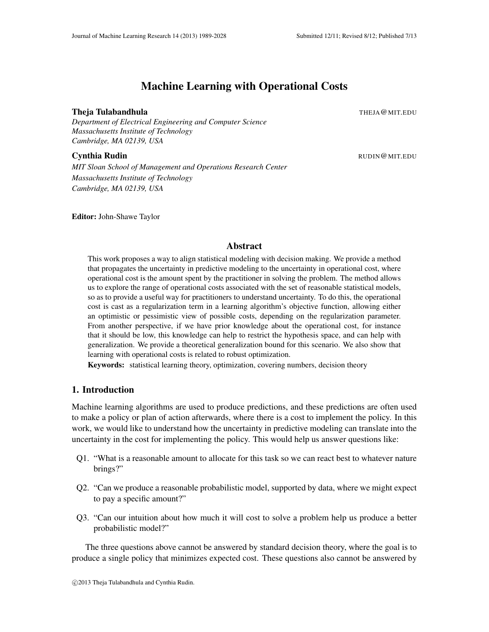# Machine Learning with Operational Costs

### **Theja Tulabandhula** The Theory of the Contract of the Theory of the Theory of The Theory of The Theory of The T

*Department of Electrical Engineering and Computer Science Massachusetts Institute of Technology Cambridge, MA 02139, USA*

## **Cynthia Rudin China Rudin Ruping China Ruping China Ruping China Ruping China Ruping China Ruping China Ruping China Ruping China Ruping China Ruping China Ruping China Ruping China Ruping China Ruping China Ruping China**

*MIT Sloan School of Management and Operations Research Center Massachusetts Institute of Technology Cambridge, MA 02139, USA*

Editor: John-Shawe Taylor

# Abstract

This work proposes a way to align statistical modeling with decision making. We provide a method that propagates the uncertainty in predictive modeling to the uncertainty in operational cost, where operational cost is the amount spent by the practitioner in solving the problem. The method allows us to explore the range of operational costs associated with the set of reasonable statistical models, so as to provide a useful way for practitioners to understand uncertainty. To do this, the operational cost is cast as a regularization term in a learning algorithm's objective function, allowing either an optimistic or pessimistic view of possible costs, depending on the regularization parameter. From another perspective, if we have prior knowledge about the operational cost, for instance that it should be low, this knowledge can help to restrict the hypothesis space, and can help with generalization. We provide a theoretical generalization bound for this scenario. We also show that learning with operational costs is related to robust optimization.

Keywords: statistical learning theory, optimization, covering numbers, decision theory

# 1. Introduction

Machine learning algorithms are used to produce predictions, and these predictions are often used to make a policy or plan of action afterwards, where there is a cost to implement the policy. In this work, we would like to understand how the uncertainty in predictive modeling can translate into the uncertainty in the cost for implementing the policy. This would help us answer questions like:

- Q1. "What is a reasonable amount to allocate for this task so we can react best to whatever nature brings?"
- Q2. "Can we produce a reasonable probabilistic model, supported by data, where we might expect to pay a specific amount?"
- Q3. "Can our intuition about how much it will cost to solve a problem help us produce a better probabilistic model?"

The three questions above cannot be answered by standard decision theory, where the goal is to produce a single policy that minimizes expected cost. These questions also cannot be answered by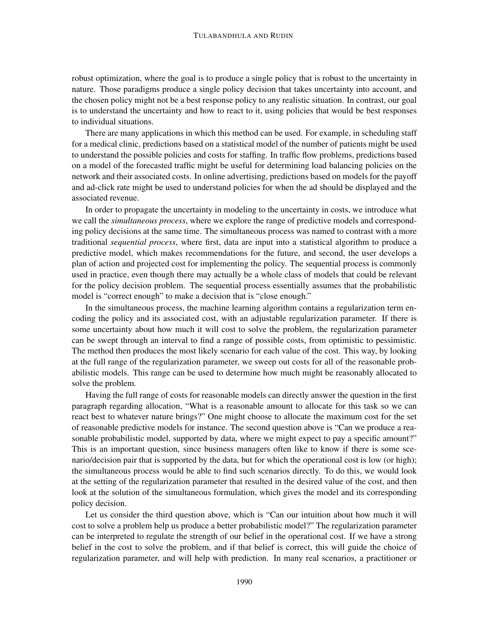robust optimization, where the goal is to produce a single policy that is robust to the uncertainty in nature. Those paradigms produce a single policy decision that takes uncertainty into account, and the chosen policy might not be a best response policy to any realistic situation. In contrast, our goal is to understand the uncertainty and how to react to it, using policies that would be best responses to individual situations.

There are many applications in which this method can be used. For example, in scheduling staff for a medical clinic, predictions based on a statistical model of the number of patients might be used to understand the possible policies and costs for staffing. In traffic flow problems, predictions based on a model of the forecasted traffic might be useful for determining load balancing policies on the network and their associated costs. In online advertising, predictions based on models for the payoff and ad-click rate might be used to understand policies for when the ad should be displayed and the associated revenue.

In order to propagate the uncertainty in modeling to the uncertainty in costs, we introduce what we call the *simultaneous process*, where we explore the range of predictive models and corresponding policy decisions at the same time. The simultaneous process was named to contrast with a more traditional *sequential process*, where first, data are input into a statistical algorithm to produce a predictive model, which makes recommendations for the future, and second, the user develops a plan of action and projected cost for implementing the policy. The sequential process is commonly used in practice, even though there may actually be a whole class of models that could be relevant for the policy decision problem. The sequential process essentially assumes that the probabilistic model is "correct enough" to make a decision that is "close enough."

In the simultaneous process, the machine learning algorithm contains a regularization term encoding the policy and its associated cost, with an adjustable regularization parameter. If there is some uncertainty about how much it will cost to solve the problem, the regularization parameter can be swept through an interval to find a range of possible costs, from optimistic to pessimistic. The method then produces the most likely scenario for each value of the cost. This way, by looking at the full range of the regularization parameter, we sweep out costs for all of the reasonable probabilistic models. This range can be used to determine how much might be reasonably allocated to solve the problem.

Having the full range of costs for reasonable models can directly answer the question in the first paragraph regarding allocation, "What is a reasonable amount to allocate for this task so we can react best to whatever nature brings?" One might choose to allocate the maximum cost for the set of reasonable predictive models for instance. The second question above is "Can we produce a reasonable probabilistic model, supported by data, where we might expect to pay a specific amount?" This is an important question, since business managers often like to know if there is some scenario/decision pair that is supported by the data, but for which the operational cost is low (or high); the simultaneous process would be able to find such scenarios directly. To do this, we would look at the setting of the regularization parameter that resulted in the desired value of the cost, and then look at the solution of the simultaneous formulation, which gives the model and its corresponding policy decision.

Let us consider the third question above, which is "Can our intuition about how much it will cost to solve a problem help us produce a better probabilistic model?" The regularization parameter can be interpreted to regulate the strength of our belief in the operational cost. If we have a strong belief in the cost to solve the problem, and if that belief is correct, this will guide the choice of regularization parameter, and will help with prediction. In many real scenarios, a practitioner or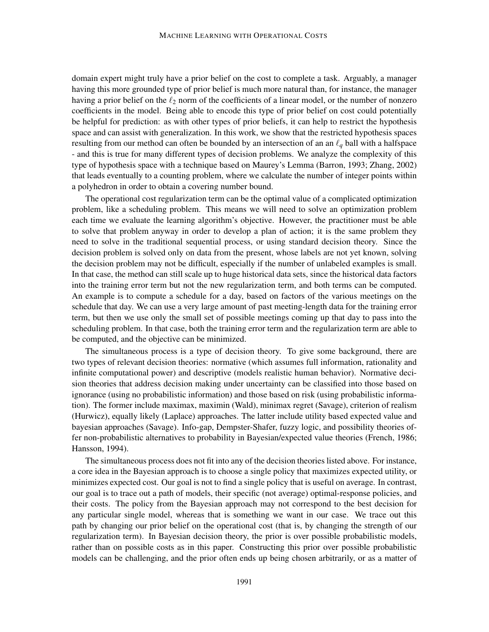domain expert might truly have a prior belief on the cost to complete a task. Arguably, a manager having this more grounded type of prior belief is much more natural than, for instance, the manager having a prior belief on the  $\ell_2$  norm of the coefficients of a linear model, or the number of nonzero coefficients in the model. Being able to encode this type of prior belief on cost could potentially be helpful for prediction: as with other types of prior beliefs, it can help to restrict the hypothesis space and can assist with generalization. In this work, we show that the restricted hypothesis spaces resulting from our method can often be bounded by an intersection of an an ℓ*<sup>q</sup>* ball with a halfspace - and this is true for many different types of decision problems. We analyze the complexity of this type of hypothesis space with a technique based on Maurey's Lemma (Barron, 1993; Zhang, 2002) that leads eventually to a counting problem, where we calculate the number of integer points within a polyhedron in order to obtain a covering number bound.

The operational cost regularization term can be the optimal value of a complicated optimization problem, like a scheduling problem. This means we will need to solve an optimization problem each time we evaluate the learning algorithm's objective. However, the practitioner must be able to solve that problem anyway in order to develop a plan of action; it is the same problem they need to solve in the traditional sequential process, or using standard decision theory. Since the decision problem is solved only on data from the present, whose labels are not yet known, solving the decision problem may not be difficult, especially if the number of unlabeled examples is small. In that case, the method can still scale up to huge historical data sets, since the historical data factors into the training error term but not the new regularization term, and both terms can be computed. An example is to compute a schedule for a day, based on factors of the various meetings on the schedule that day. We can use a very large amount of past meeting-length data for the training error term, but then we use only the small set of possible meetings coming up that day to pass into the scheduling problem. In that case, both the training error term and the regularization term are able to be computed, and the objective can be minimized.

The simultaneous process is a type of decision theory. To give some background, there are two types of relevant decision theories: normative (which assumes full information, rationality and infinite computational power) and descriptive (models realistic human behavior). Normative decision theories that address decision making under uncertainty can be classified into those based on ignorance (using no probabilistic information) and those based on risk (using probabilistic information). The former include maximax, maximin (Wald), minimax regret (Savage), criterion of realism (Hurwicz), equally likely (Laplace) approaches. The latter include utility based expected value and bayesian approaches (Savage). Info-gap, Dempster-Shafer, fuzzy logic, and possibility theories offer non-probabilistic alternatives to probability in Bayesian/expected value theories (French, 1986; Hansson, 1994).

The simultaneous process does not fit into any of the decision theories listed above. For instance, a core idea in the Bayesian approach is to choose a single policy that maximizes expected utility, or minimizes expected cost. Our goal is not to find a single policy that is useful on average. In contrast, our goal is to trace out a path of models, their specific (not average) optimal-response policies, and their costs. The policy from the Bayesian approach may not correspond to the best decision for any particular single model, whereas that is something we want in our case. We trace out this path by changing our prior belief on the operational cost (that is, by changing the strength of our regularization term). In Bayesian decision theory, the prior is over possible probabilistic models, rather than on possible costs as in this paper. Constructing this prior over possible probabilistic models can be challenging, and the prior often ends up being chosen arbitrarily, or as a matter of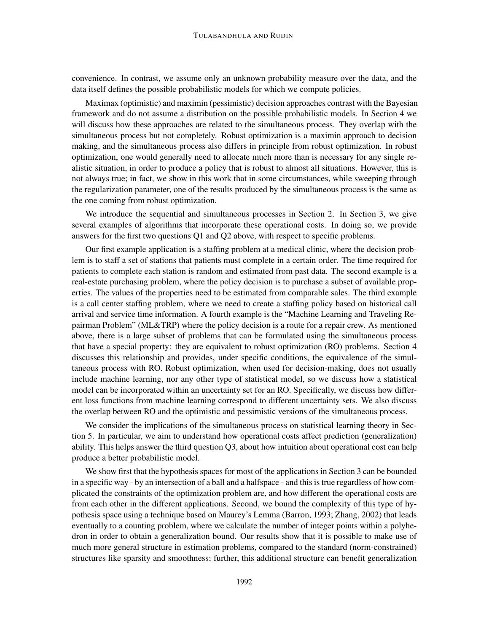convenience. In contrast, we assume only an unknown probability measure over the data, and the data itself defines the possible probabilistic models for which we compute policies.

Maximax (optimistic) and maximin (pessimistic) decision approaches contrast with the Bayesian framework and do not assume a distribution on the possible probabilistic models. In Section 4 we will discuss how these approaches are related to the simultaneous process. They overlap with the simultaneous process but not completely. Robust optimization is a maximin approach to decision making, and the simultaneous process also differs in principle from robust optimization. In robust optimization, one would generally need to allocate much more than is necessary for any single realistic situation, in order to produce a policy that is robust to almost all situations. However, this is not always true; in fact, we show in this work that in some circumstances, while sweeping through the regularization parameter, one of the results produced by the simultaneous process is the same as the one coming from robust optimization.

We introduce the sequential and simultaneous processes in Section 2. In Section 3, we give several examples of algorithms that incorporate these operational costs. In doing so, we provide answers for the first two questions Q1 and Q2 above, with respect to specific problems.

Our first example application is a staffing problem at a medical clinic, where the decision problem is to staff a set of stations that patients must complete in a certain order. The time required for patients to complete each station is random and estimated from past data. The second example is a real-estate purchasing problem, where the policy decision is to purchase a subset of available properties. The values of the properties need to be estimated from comparable sales. The third example is a call center staffing problem, where we need to create a staffing policy based on historical call arrival and service time information. A fourth example is the "Machine Learning and Traveling Repairman Problem" (ML&TRP) where the policy decision is a route for a repair crew. As mentioned above, there is a large subset of problems that can be formulated using the simultaneous process that have a special property: they are equivalent to robust optimization (RO) problems. Section 4 discusses this relationship and provides, under specific conditions, the equivalence of the simultaneous process with RO. Robust optimization, when used for decision-making, does not usually include machine learning, nor any other type of statistical model, so we discuss how a statistical model can be incorporated within an uncertainty set for an RO. Specifically, we discuss how different loss functions from machine learning correspond to different uncertainty sets. We also discuss the overlap between RO and the optimistic and pessimistic versions of the simultaneous process.

We consider the implications of the simultaneous process on statistical learning theory in Section 5. In particular, we aim to understand how operational costs affect prediction (generalization) ability. This helps answer the third question Q3, about how intuition about operational cost can help produce a better probabilistic model.

We show first that the hypothesis spaces for most of the applications in Section 3 can be bounded in a specific way - by an intersection of a ball and a halfspace - and this is true regardless of how complicated the constraints of the optimization problem are, and how different the operational costs are from each other in the different applications. Second, we bound the complexity of this type of hypothesis space using a technique based on Maurey's Lemma (Barron, 1993; Zhang, 2002) that leads eventually to a counting problem, where we calculate the number of integer points within a polyhedron in order to obtain a generalization bound. Our results show that it is possible to make use of much more general structure in estimation problems, compared to the standard (norm-constrained) structures like sparsity and smoothness; further, this additional structure can benefit generalization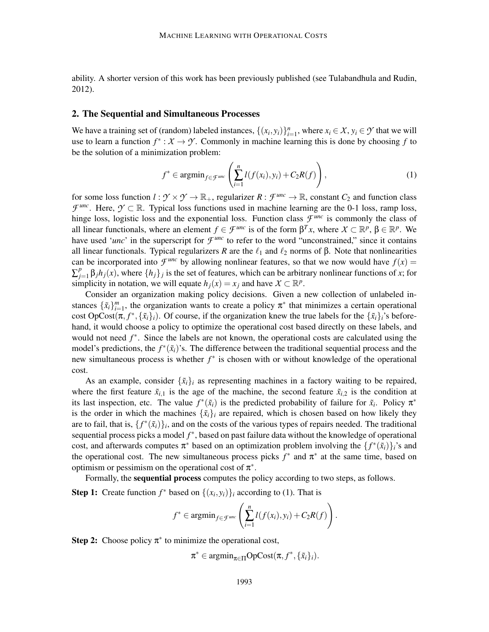ability. A shorter version of this work has been previously published (see Tulabandhula and Rudin, 2012).

### 2. The Sequential and Simultaneous Processes

We have a training set of (random) labeled instances,  $\{(x_i, y_i)\}_{i=1}^n$ , where  $x_i \in X$ ,  $y_i \in Y$  that we will use to learn a function  $f^*: X \to Y$ . Commonly in machine learning this is done by choosing f to be the solution of a minimization problem:

$$
f^* \in \operatorname{argmin}_{f \in \mathcal{F}^{\text{unc}}} \left( \sum_{i=1}^n l(f(x_i), y_i) + C_2 R(f) \right), \tag{1}
$$

for some loss function  $l : \mathcal{Y} \times \mathcal{Y} \to \mathbb{R}_+$ , regularizer  $R : \mathcal{F}^{unc} \to \mathbb{R}$ , constant  $C_2$  and function class *F*<sup>*unc*</sup>. Here,  $\mathcal{Y} \subset \mathbb{R}$ . Typical loss functions used in machine learning are the 0-1 loss, ramp loss, hinge loss, logistic loss and the exponential loss. Function class  $\mathcal{F}^{unc}$  is commonly the class of all linear functionals, where an element  $f \in \mathcal{F}^{unc}$  is of the form  $\beta^T x$ , where  $X \subset \mathbb{R}^p$ ,  $\beta \in \mathbb{R}^p$ . We have used '*unc*' in the superscript for  $\mathcal{F}^{unc}$  to refer to the word "unconstrained," since it contains all linear functionals. Typical regularizers *R* are the  $\ell_1$  and  $\ell_2$  norms of  $\beta$ . Note that nonlinearities can be incorporated into  $\mathcal{F}^{\text{unc}}$  by allowing nonlinear features, so that we now would have  $f(x)$  = ∑ *p*  $\int_{j=1}^{p} \beta_j h_j(x)$ , where  $\{h_j\}_j$  is the set of features, which can be arbitrary nonlinear functions of *x*; for simplicity in notation, we will equate  $h_j(x) = x_j$  and have  $X \subset \mathbb{R}^p$ .

Consider an organization making policy decisions. Given a new collection of unlabeled instances  $\{\tilde{x}_i\}_{i=1}^m$ , the organization wants to create a policy  $\pi^*$  that minimizes a certain operational cost  $OpCost(\pi, f^*, \{\tilde{x}_i\}_i)$ . Of course, if the organization knew the true labels for the  $\{\tilde{x}_i\}_i$ 's beforehand, it would choose a policy to optimize the operational cost based directly on these labels, and would not need *f*<sup>\*</sup>. Since the labels are not known, the operational costs are calculated using the model's predictions, the  $f^*(\tilde{x}_i)$ 's. The difference between the traditional sequential process and the new simultaneous process is whether *f* ∗ is chosen with or without knowledge of the operational cost.

As an example, consider  $\{\tilde{x}_i\}_i$  as representing machines in a factory waiting to be repaired, where the first feature  $\tilde{x}_{i,1}$  is the age of the machine, the second feature  $\tilde{x}_{i,2}$  is the condition at its last inspection, etc. The value  $f^*(\tilde{x}_i)$  is the predicted probability of failure for  $\tilde{x}_i$ . Policy  $\pi^*$ is the order in which the machines  $\{\tilde{x}_i\}_i$  are repaired, which is chosen based on how likely they are to fail, that is,  $\{f^*(\tilde{x}_i)\}_i$ , and on the costs of the various types of repairs needed. The traditional sequential process picks a model *f* ∗ , based on past failure data without the knowledge of operational cost, and afterwards computes  $\pi^*$  based on an optimization problem involving the  $\{f^*(\tilde{x}_i)\}_i$ 's and the operational cost. The new simultaneous process picks  $f^*$  and  $\pi^*$  at the same time, based on optimism or pessimism on the operational cost of  $\pi^*$ .

Formally, the sequential process computes the policy according to two steps, as follows.

**Step 1:** Create function  $f^*$  based on  $\{(x_i, y_i)\}_i$  according to (1). That is

$$
f^* \in \operatorname{argmin}_{f \in \mathcal{F}^{unc}} \left( \sum_{i=1}^n l(f(x_i), y_i) + C_2 R(f) \right).
$$

**Step 2:** Choose policy  $\pi^*$  to minimize the operational cost,

 $\pi^* \in \operatorname{argmin}_{\pi \in \Pi} \operatorname{OpCost}(\pi, f^*, \{\tilde{x}_i\}_i).$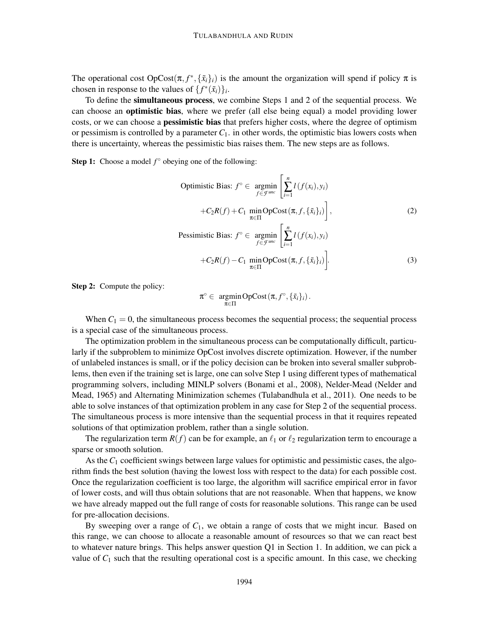The operational cost  $OpCost(\pi, f^*, {\{\tilde{x}_i\}_i})$  is the amount the organization will spend if policy  $\pi$  is chosen in response to the values of  $\{f^*(\tilde{x}_i)\}_i$ .

To define the simultaneous process, we combine Steps 1 and 2 of the sequential process. We can choose an **optimistic bias**, where we prefer (all else being equal) a model providing lower costs, or we can choose a **pessimistic bias** that prefers higher costs, where the degree of optimism or pessimism is controlled by a parameter  $C_1$ . in other words, the optimistic bias lowers costs when there is uncertainty, whereas the pessimistic bias raises them. The new steps are as follows.

**Step 1:** Choose a model  $f^{\circ}$  obeying one of the following:

Optimistic Bias: 
$$
f^{\circ} \in \operatorname*{argmin}_{f \in \mathcal{F}^{unc}} \left[ \sum_{i=1}^{n} l(f(x_i), y_i) + C_2 R(f) + C_1 \min_{\pi \in \Pi} \operatorname{OpCost}(\pi, f, \{\tilde{x}_i\}_i) \right],
$$
 (2)  
\nPessimistic Bias:  $f^{\circ} \in \operatorname*{argmin}_{f \in \mathcal{F}^{unc}} \left[ \sum_{i=1}^{n} l(f(x_i), y_i) + C_2 R(f) - C_1 \min_{\pi \in \Pi} \operatorname{OpCost}(\pi, f, \{\tilde{x}_i\}_i) \right].$  (3)

Step 2: Compute the policy:

$$
\pi^{\circ} \in \mathop{\rm argmin}_{\pi \in \Pi} {\rm OpCost}(\pi, f^{\circ}, \{\tilde{x}_i\}_i).
$$

When  $C_1 = 0$ , the simultaneous process becomes the sequential process; the sequential process is a special case of the simultaneous process.

The optimization problem in the simultaneous process can be computationally difficult, particularly if the subproblem to minimize OpCost involves discrete optimization. However, if the number of unlabeled instances is small, or if the policy decision can be broken into several smaller subproblems, then even if the training set is large, one can solve Step 1 using different types of mathematical programming solvers, including MINLP solvers (Bonami et al., 2008), Nelder-Mead (Nelder and Mead, 1965) and Alternating Minimization schemes (Tulabandhula et al., 2011). One needs to be able to solve instances of that optimization problem in any case for Step 2 of the sequential process. The simultaneous process is more intensive than the sequential process in that it requires repeated solutions of that optimization problem, rather than a single solution.

The regularization term  $R(f)$  can be for example, an  $\ell_1$  or  $\ell_2$  regularization term to encourage a sparse or smooth solution.

As the  $C_1$  coefficient swings between large values for optimistic and pessimistic cases, the algorithm finds the best solution (having the lowest loss with respect to the data) for each possible cost. Once the regularization coefficient is too large, the algorithm will sacrifice empirical error in favor of lower costs, and will thus obtain solutions that are not reasonable. When that happens, we know we have already mapped out the full range of costs for reasonable solutions. This range can be used for pre-allocation decisions.

By sweeping over a range of  $C_1$ , we obtain a range of costs that we might incur. Based on this range, we can choose to allocate a reasonable amount of resources so that we can react best to whatever nature brings. This helps answer question Q1 in Section 1. In addition, we can pick a value of *C*<sup>1</sup> such that the resulting operational cost is a specific amount. In this case, we checking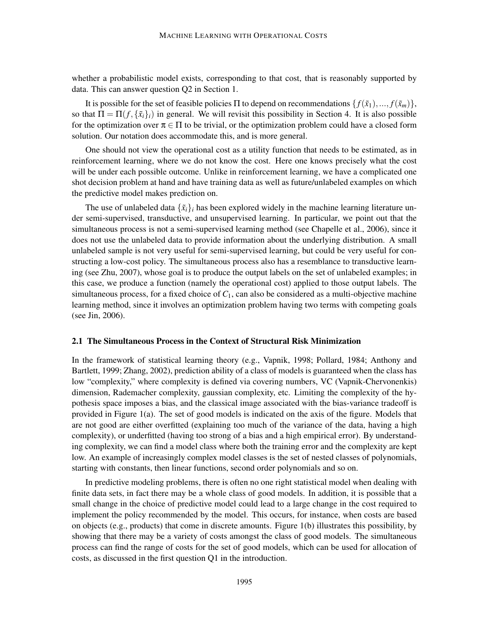whether a probabilistic model exists, corresponding to that cost, that is reasonably supported by data. This can answer question Q2 in Section 1.

It is possible for the set of feasible policies Π to depend on recommendations  $\{f(\tilde{x}_1),...,f(\tilde{x}_m)\}\$ , so that  $\Pi = \Pi(f, \{\tilde{x}_i\}_i)$  in general. We will revisit this possibility in Section 4. It is also possible for the optimization over  $\pi \in \Pi$  to be trivial, or the optimization problem could have a closed form solution. Our notation does accommodate this, and is more general.

One should not view the operational cost as a utility function that needs to be estimated, as in reinforcement learning, where we do not know the cost. Here one knows precisely what the cost will be under each possible outcome. Unlike in reinforcement learning, we have a complicated one shot decision problem at hand and have training data as well as future/unlabeled examples on which the predictive model makes prediction on.

The use of unlabeled data  $\{\tilde{x}_i\}_i$  has been explored widely in the machine learning literature under semi-supervised, transductive, and unsupervised learning. In particular, we point out that the simultaneous process is not a semi-supervised learning method (see Chapelle et al., 2006), since it does not use the unlabeled data to provide information about the underlying distribution. A small unlabeled sample is not very useful for semi-supervised learning, but could be very useful for constructing a low-cost policy. The simultaneous process also has a resemblance to transductive learning (see Zhu, 2007), whose goal is to produce the output labels on the set of unlabeled examples; in this case, we produce a function (namely the operational cost) applied to those output labels. The simultaneous process, for a fixed choice of  $C_1$ , can also be considered as a multi-objective machine learning method, since it involves an optimization problem having two terms with competing goals (see Jin, 2006).

### 2.1 The Simultaneous Process in the Context of Structural Risk Minimization

In the framework of statistical learning theory (e.g., Vapnik, 1998; Pollard, 1984; Anthony and Bartlett, 1999; Zhang, 2002), prediction ability of a class of models is guaranteed when the class has low "complexity," where complexity is defined via covering numbers, VC (Vapnik-Chervonenkis) dimension, Rademacher complexity, gaussian complexity, etc. Limiting the complexity of the hypothesis space imposes a bias, and the classical image associated with the bias-variance tradeoff is provided in Figure 1(a). The set of good models is indicated on the axis of the figure. Models that are not good are either overfitted (explaining too much of the variance of the data, having a high complexity), or underfitted (having too strong of a bias and a high empirical error). By understanding complexity, we can find a model class where both the training error and the complexity are kept low. An example of increasingly complex model classes is the set of nested classes of polynomials, starting with constants, then linear functions, second order polynomials and so on.

In predictive modeling problems, there is often no one right statistical model when dealing with finite data sets, in fact there may be a whole class of good models. In addition, it is possible that a small change in the choice of predictive model could lead to a large change in the cost required to implement the policy recommended by the model. This occurs, for instance, when costs are based on objects (e.g., products) that come in discrete amounts. Figure 1(b) illustrates this possibility, by showing that there may be a variety of costs amongst the class of good models. The simultaneous process can find the range of costs for the set of good models, which can be used for allocation of costs, as discussed in the first question Q1 in the introduction.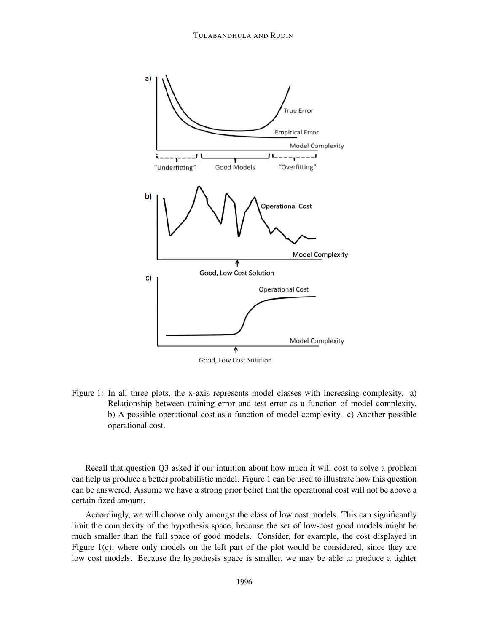

Figure 1: In all three plots, the x-axis represents model classes with increasing complexity. a) Relationship between training error and test error as a function of model complexity. b) A possible operational cost as a function of model complexity. c) Another possible operational cost.

Recall that question Q3 asked if our intuition about how much it will cost to solve a problem can help us produce a better probabilistic model. Figure 1 can be used to illustrate how this question can be answered. Assume we have a strong prior belief that the operational cost will not be above a certain fixed amount.

Accordingly, we will choose only amongst the class of low cost models. This can significantly limit the complexity of the hypothesis space, because the set of low-cost good models might be much smaller than the full space of good models. Consider, for example, the cost displayed in Figure 1(c), where only models on the left part of the plot would be considered, since they are low cost models. Because the hypothesis space is smaller, we may be able to produce a tighter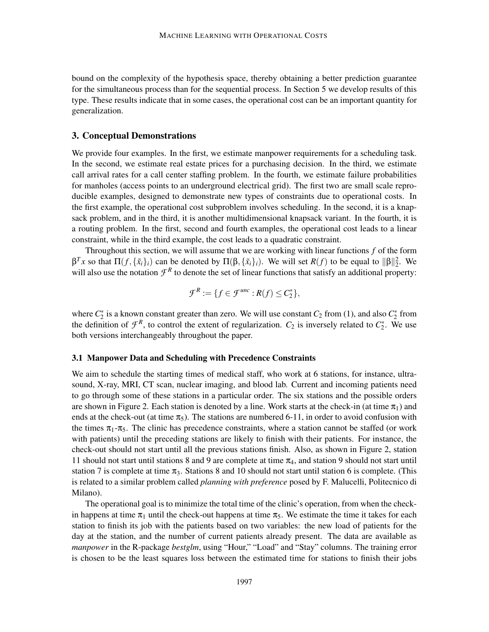bound on the complexity of the hypothesis space, thereby obtaining a better prediction guarantee for the simultaneous process than for the sequential process. In Section 5 we develop results of this type. These results indicate that in some cases, the operational cost can be an important quantity for generalization.

### 3. Conceptual Demonstrations

We provide four examples. In the first, we estimate manpower requirements for a scheduling task. In the second, we estimate real estate prices for a purchasing decision. In the third, we estimate call arrival rates for a call center staffing problem. In the fourth, we estimate failure probabilities for manholes (access points to an underground electrical grid). The first two are small scale reproducible examples, designed to demonstrate new types of constraints due to operational costs. In the first example, the operational cost subproblem involves scheduling. In the second, it is a knapsack problem, and in the third, it is another multidimensional knapsack variant. In the fourth, it is a routing problem. In the first, second and fourth examples, the operational cost leads to a linear constraint, while in the third example, the cost leads to a quadratic constraint.

Throughout this section, we will assume that we are working with linear functions *f* of the form  $β<sup>T</sup>x$  so that  $\Pi(f, \{\tilde{x}_i\}_i)$  can be denoted by  $\Pi(β, \{\tilde{x}_i\}_i)$ . We will set  $R(f)$  to be equal to  $\|\beta\|_2^2$ . We will also use the notation  $\mathcal{F}^R$  to denote the set of linear functions that satisfy an additional property:

$$
\mathcal{F}^R := \{ f \in \mathcal{F}^{unc} : R(f) \leq C_2^* \},
$$

where  $C_2^*$  is a known constant greater than zero. We will use constant  $C_2$  from (1), and also  $C_2^*$  from the definition of  $\mathcal{F}^R$ , to control the extent of regularization.  $C_2$  is inversely related to  $C_2^*$ . We use both versions interchangeably throughout the paper.

#### 3.1 Manpower Data and Scheduling with Precedence Constraints

We aim to schedule the starting times of medical staff, who work at 6 stations, for instance, ultrasound, X-ray, MRI, CT scan, nuclear imaging, and blood lab. Current and incoming patients need to go through some of these stations in a particular order. The six stations and the possible orders are shown in Figure 2. Each station is denoted by a line. Work starts at the check-in (at time  $\pi_1$ ) and ends at the check-out (at time  $\pi_5$ ). The stations are numbered 6-11, in order to avoid confusion with the times  $\pi_1$ - $\pi_5$ . The clinic has precedence constraints, where a station cannot be staffed (or work with patients) until the preceding stations are likely to finish with their patients. For instance, the check-out should not start until all the previous stations finish. Also, as shown in Figure 2, station 11 should not start until stations 8 and 9 are complete at time  $\pi_4$ , and station 9 should not start until station 7 is complete at time  $\pi_3$ . Stations 8 and 10 should not start until station 6 is complete. (This is related to a similar problem called *planning with preference* posed by F. Malucelli, Politecnico di Milano).

The operational goal is to minimize the total time of the clinic's operation, from when the checkin happens at time  $\pi_1$  until the check-out happens at time  $\pi_5$ . We estimate the time it takes for each station to finish its job with the patients based on two variables: the new load of patients for the day at the station, and the number of current patients already present. The data are available as *manpower* in the R-package *bestglm*, using "Hour," "Load" and "Stay" columns. The training error is chosen to be the least squares loss between the estimated time for stations to finish their jobs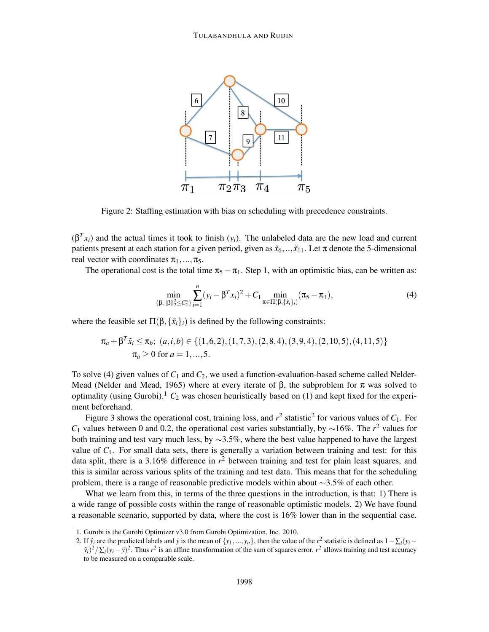

Figure 2: Staffing estimation with bias on scheduling with precedence constraints.

 $(β<sup>T</sup>x<sub>i</sub>)$  and the actual times it took to finish  $(y<sub>i</sub>)$ . The unlabeled data are the new load and current patients present at each station for a given period, given as  $\tilde{x}_6, \dots, \tilde{x}_{11}$ . Let  $\pi$  denote the 5-dimensional real vector with coordinates  $\pi_1, \ldots, \pi_5$ .

The operational cost is the total time  $\pi_5 - \pi_1$ . Step 1, with an optimistic bias, can be written as:

$$
\min_{\{\beta:\|\beta\|_2^2 \le C_2^*\}} \sum_{i=1}^n (y_i - \beta^T x_i)^2 + C_1 \min_{\pi \in \Pi(\beta,\{\tilde{x}_i\}_i)} (\pi_5 - \pi_1),
$$
\n(4)

where the feasible set  $\Pi(\beta, \{\tilde{x}_i\}_i)$  is defined by the following constraints:

$$
\pi_a + \beta^T \tilde{x}_i \le \pi_b; \ (a, i, b) \in \{ (1, 6, 2), (1, 7, 3), (2, 8, 4), (3, 9, 4), (2, 10, 5), (4, 11, 5) \} \pi_a \ge 0 \text{ for } a = 1, ..., 5.
$$

To solve (4) given values of  $C_1$  and  $C_2$ , we used a function-evaluation-based scheme called Nelder-Mead (Nelder and Mead, 1965) where at every iterate of  $\beta$ , the subproblem for  $\pi$  was solved to optimality (using Gurobi).<sup>1</sup>  $C_2$  was chosen heuristically based on (1) and kept fixed for the experiment beforehand.

Figure 3 shows the operational cost, training loss, and  $r^2$  statistic<sup>2</sup> for various values of  $C_1$ . For *C*<sub>1</sub> values between 0 and 0.2, the operational cost varies substantially, by ∼16%. The *r*<sup>2</sup> values for both training and test vary much less, by  $\sim$ 3.5%, where the best value happened to have the largest value of *C*1. For small data sets, there is generally a variation between training and test: for this data split, there is a 3.16% difference in *r* <sup>2</sup> between training and test for plain least squares, and this is similar across various splits of the training and test data. This means that for the scheduling problem, there is a range of reasonable predictive models within about ∼3.5% of each other.

What we learn from this, in terms of the three questions in the introduction, is that: 1) There is a wide range of possible costs within the range of reasonable optimistic models. 2) We have found a reasonable scenario, supported by data, where the cost is 16% lower than in the sequential case.

<sup>1.</sup> Gurobi is the Gurobi Optimizer v3.0 from Gurobi Optimization, Inc. 2010.

<sup>2.</sup> If  $\hat{y}_i$  are the predicted labels and  $\bar{y}$  is the mean of  $\{y_1, \ldots, y_n\}$ , then the value of the  $r^2$  statistic is defined as  $1 - \sum_i (y_i - \sum_i y_i)$  $\frac{\partial^2}{\partial t^2}$   $\sum_i (y_i - \bar{y})^2$ . Thus *r*<sup>2</sup> is an affine transformation of the sum of squares error. *r*<sup>2</sup> allows training and test accuracy to be measured on a comparable scale.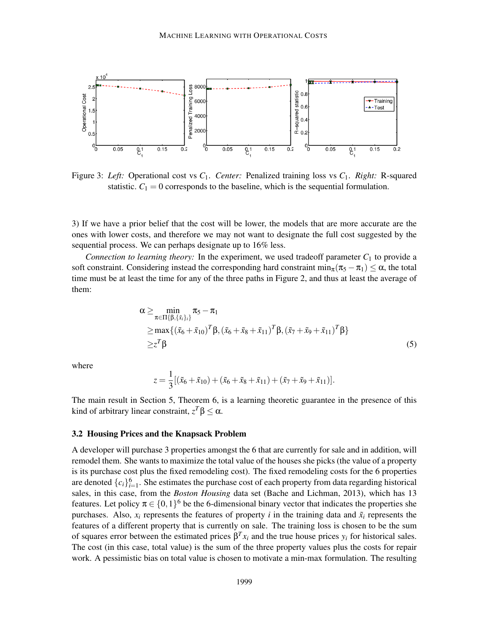

Figure 3: *Left:* Operational cost vs *C*1. *Center:* Penalized training loss vs *C*1. *Right:* R-squared statistic.  $C_1 = 0$  corresponds to the baseline, which is the sequential formulation.

3) If we have a prior belief that the cost will be lower, the models that are more accurate are the ones with lower costs, and therefore we may not want to designate the full cost suggested by the sequential process. We can perhaps designate up to 16% less.

*Connection to learning theory:* In the experiment, we used tradeoff parameter  $C_1$  to provide a soft constraint. Considering instead the corresponding hard constraint  $\min_{\pi} (\pi_5 - \pi_1) \leq \alpha$ , the total time must be at least the time for any of the three paths in Figure 2, and thus at least the average of them:

$$
\alpha \ge \min_{\pi \in \Pi\{\beta, \{\tilde{x}_i\}_i\}} \pi_5 - \pi_1
$$
  
\n
$$
\ge \max\{(\tilde{x}_6 + \tilde{x}_{10})^T \beta, (\tilde{x}_6 + \tilde{x}_8 + \tilde{x}_{11})^T \beta, (\tilde{x}_7 + \tilde{x}_9 + \tilde{x}_{11})^T \beta\}
$$
  
\n
$$
\ge z^T \beta
$$
 (5)

where

$$
z = \frac{1}{3} [(\tilde{x}_6 + \tilde{x}_{10}) + (\tilde{x}_6 + \tilde{x}_8 + \tilde{x}_{11}) + (\tilde{x}_7 + \tilde{x}_9 + \tilde{x}_{11})].
$$

The main result in Section 5, Theorem 6, is a learning theoretic guarantee in the presence of this kind of arbitrary linear constraint,  $z^T \beta \leq \alpha$ .

### 3.2 Housing Prices and the Knapsack Problem

A developer will purchase 3 properties amongst the 6 that are currently for sale and in addition, will remodel them. She wants to maximize the total value of the houses she picks (the value of a property is its purchase cost plus the fixed remodeling cost). The fixed remodeling costs for the 6 properties are denoted  $\{c_i\}_{i=1}^6$ . She estimates the purchase cost of each property from data regarding historical sales, in this case, from the *Boston Housing* data set (Bache and Lichman, 2013), which has 13 features. Let policy  $\pi \in \{0,1\}^6$  be the 6-dimensional binary vector that indicates the properties she purchases. Also,  $x_i$  represents the features of property *i* in the training data and  $\tilde{x}_i$  represents the features of a different property that is currently on sale. The training loss is chosen to be the sum of squares error between the estimated prices  $\beta^T x_i$  and the true house prices  $y_i$  for historical sales. The cost (in this case, total value) is the sum of the three property values plus the costs for repair work. A pessimistic bias on total value is chosen to motivate a min-max formulation. The resulting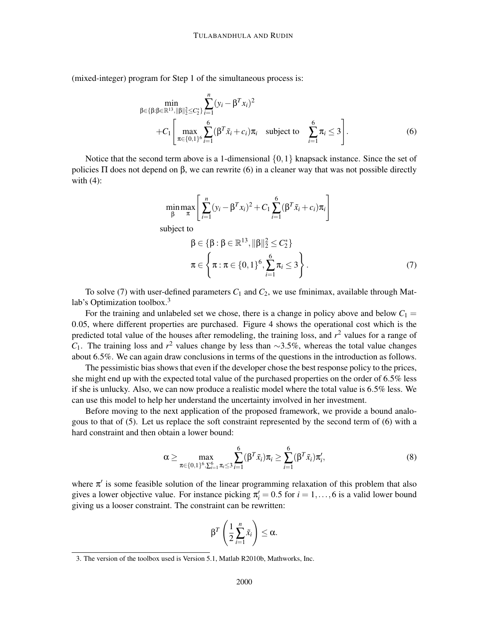(mixed-integer) program for Step 1 of the simultaneous process is:

$$
\min_{\beta \in \{\beta : \beta \in \mathbb{R}^{13}, \|\beta\|_2^2 \le C_2^*\}} \sum_{i=1}^n (y_i - \beta^T x_i)^2 + C_1 \left[ \max_{\pi \in \{0,1\}^6} \sum_{i=1}^6 (\beta^T \tilde{x}_i + c_i) \pi_i \right] \text{ subject to } \sum_{i=1}^6 \pi_i \le 3 \right].
$$
 (6)

Notice that the second term above is a 1-dimensional  $\{0,1\}$  knapsack instance. Since the set of policies  $\Pi$  does not depend on  $\beta$ , we can rewrite (6) in a cleaner way that was not possible directly with  $(4)$ :

$$
\min_{\beta} \max_{\pi} \left[ \sum_{i=1}^{n} (y_i - \beta^T x_i)^2 + C_1 \sum_{i=1}^{6} (\beta^T \tilde{x}_i + c_i) \pi_i \right]
$$
\nsubject to\n
$$
\beta \in \{\beta : \beta \in \mathbb{R}^{13}, ||\beta||_2^2 \le C_2^* \}
$$
\n
$$
\pi \in \left\{ \pi : \pi \in \{0, 1\}^6, \sum_{i=1}^{6} \pi_i \le 3 \right\}.
$$
\n(7)

To solve (7) with user-defined parameters  $C_1$  and  $C_2$ , we use fminimax, available through Matlab's Optimization toolbox.<sup>3</sup>

For the training and unlabeled set we chose, there is a change in policy above and below  $C_1 =$ 0.05, where different properties are purchased. Figure 4 shows the operational cost which is the predicted total value of the houses after remodeling, the training loss, and *r* <sup>2</sup> values for a range of *C*1. The training loss and *r* <sup>2</sup> values change by less than <sup>∼</sup>3.5%, whereas the total value changes about 6.5%. We can again draw conclusions in terms of the questions in the introduction as follows.

The pessimistic bias shows that even if the developer chose the best response policy to the prices, she might end up with the expected total value of the purchased properties on the order of 6.5% less if she is unlucky. Also, we can now produce a realistic model where the total value is 6.5% less. We can use this model to help her understand the uncertainty involved in her investment.

Before moving to the next application of the proposed framework, we provide a bound analogous to that of (5). Let us replace the soft constraint represented by the second term of (6) with a hard constraint and then obtain a lower bound:

$$
\alpha \geq \max_{\pi \in \{0,1\}^6, \sum_{i=1}^6 \pi_i \leq 3} \sum_{i=1}^6 (\beta^T \tilde{x}_i) \pi_i \geq \sum_{i=1}^6 (\beta^T \tilde{x}_i) \pi'_i,
$$
 (8)

where  $\pi'$  is some feasible solution of the linear programming relaxation of this problem that also gives a lower objective value. For instance picking  $\pi'_i = 0.5$  for  $i = 1, ..., 6$  is a valid lower bound giving us a looser constraint. The constraint can be rewritten:

$$
\beta^T\left(\frac{1}{2}\sum_{i=1}^n\tilde{x}_i\right)\leq\alpha.
$$

<sup>3.</sup> The version of the toolbox used is Version 5.1, Matlab R2010b, Mathworks, Inc.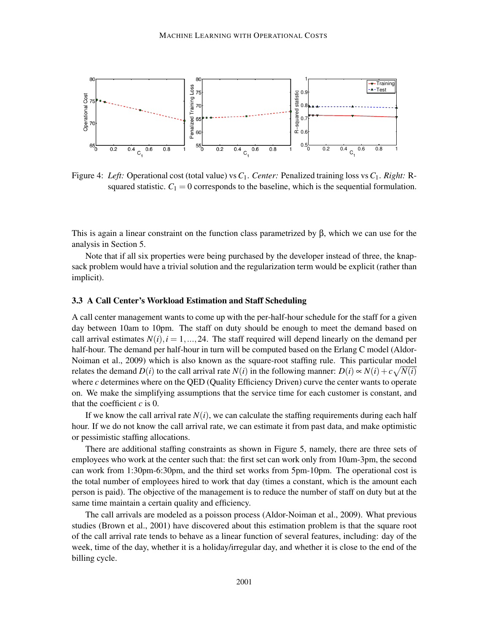

Figure 4: *Left:* Operational cost (total value) vs*C*1. *Center:* Penalized training loss vs*C*1. *Right:* Rsquared statistic.  $C_1 = 0$  corresponds to the baseline, which is the sequential formulation.

This is again a linear constraint on the function class parametrized by  $\beta$ , which we can use for the analysis in Section 5.

Note that if all six properties were being purchased by the developer instead of three, the knapsack problem would have a trivial solution and the regularization term would be explicit (rather than implicit).

#### 3.3 A Call Center's Workload Estimation and Staff Scheduling

A call center management wants to come up with the per-half-hour schedule for the staff for a given day between 10am to 10pm. The staff on duty should be enough to meet the demand based on call arrival estimates  $N(i)$ ,  $i = 1, ..., 24$ . The staff required will depend linearly on the demand per half-hour. The demand per half-hour in turn will be computed based on the Erlang C model (Aldor-Noiman et al., 2009) which is also known as the square-root staffing rule. This particular model relates the demand  $D(i)$  to the call arrival rate  $N(i)$  in the following manner:  $D(i) \propto N(i) + c\sqrt{N(i)}$ where *c* determines where on the QED (Quality Efficiency Driven) curve the center wants to operate on. We make the simplifying assumptions that the service time for each customer is constant, and that the coefficient *c* is 0.

If we know the call arrival rate  $N(i)$ , we can calculate the staffing requirements during each half hour. If we do not know the call arrival rate, we can estimate it from past data, and make optimistic or pessimistic staffing allocations.

There are additional staffing constraints as shown in Figure 5, namely, there are three sets of employees who work at the center such that: the first set can work only from 10am-3pm, the second can work from 1:30pm-6:30pm, and the third set works from 5pm-10pm. The operational cost is the total number of employees hired to work that day (times a constant, which is the amount each person is paid). The objective of the management is to reduce the number of staff on duty but at the same time maintain a certain quality and efficiency.

The call arrivals are modeled as a poisson process (Aldor-Noiman et al., 2009). What previous studies (Brown et al., 2001) have discovered about this estimation problem is that the square root of the call arrival rate tends to behave as a linear function of several features, including: day of the week, time of the day, whether it is a holiday/irregular day, and whether it is close to the end of the billing cycle.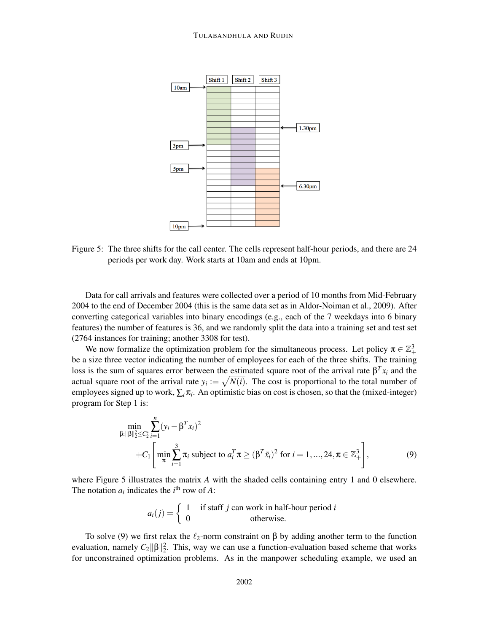

Figure 5: The three shifts for the call center. The cells represent half-hour periods, and there are 24 periods per work day. Work starts at 10am and ends at 10pm.

Data for call arrivals and features were collected over a period of 10 months from Mid-February 2004 to the end of December 2004 (this is the same data set as in Aldor-Noiman et al., 2009). After converting categorical variables into binary encodings (e.g., each of the 7 weekdays into 6 binary features) the number of features is 36, and we randomly split the data into a training set and test set (2764 instances for training; another 3308 for test).

We now formalize the optimization problem for the simultaneous process. Let policy  $\pi \in \mathbb{Z}_+^3$ be a size three vector indicating the number of employees for each of the three shifts. The training loss is the sum of squares error between the estimated square root of the arrival rate  $\beta^{T} x_i$  and the actual square root of the arrival rate  $y_i := \sqrt{N(i)}$ . The cost is proportional to the total number of employees signed up to work,  $\sum_i \pi_i$ . An optimistic bias on cost is chosen, so that the (mixed-integer) program for Step 1 is:

$$
\min_{\beta: \|\beta\|_2^2 \le C_2^*} \sum_{i=1}^n (y_i - \beta^T x_i)^2 \n+ C_1 \left[ \min_{\pi} \sum_{i=1}^3 \pi_i \text{ subject to } a_i^T \pi \ge (\beta^T \tilde{x}_i)^2 \text{ for } i = 1, ..., 24, \pi \in \mathbb{Z}_+^3 \right],
$$
\n(9)

where Figure 5 illustrates the matrix A with the shaded cells containing entry 1 and 0 elsewhere. The notation  $a_i$  indicates the  $i^{\text{th}}$  row of *A*:

$$
a_i(j) = \begin{cases} 1 & \text{if staff } j \text{ can work in half-hour period } i \\ 0 & \text{otherwise.} \end{cases}
$$

To solve (9) we first relax the  $\ell_2$ -norm constraint on  $\beta$  by adding another term to the function evaluation, namely  $C_2 \|\beta\|_2^2$ . This, way we can use a function-evaluation based scheme that works for unconstrained optimization problems. As in the manpower scheduling example, we used an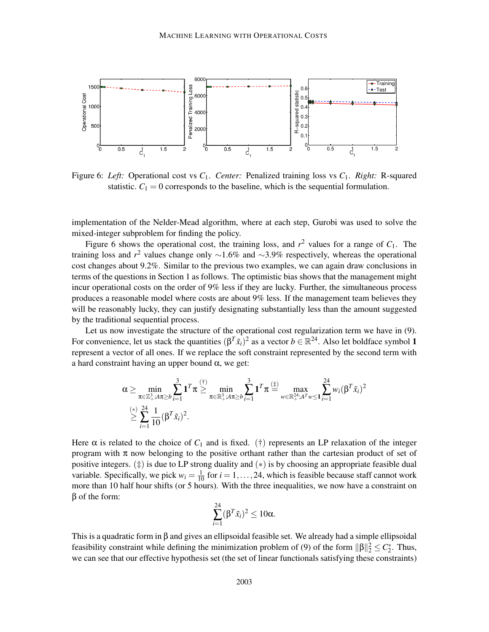![](_page_14_Figure_1.jpeg)

Figure 6: *Left:* Operational cost vs *C*1. *Center:* Penalized training loss vs *C*1. *Right:* R-squared statistic.  $C_1 = 0$  corresponds to the baseline, which is the sequential formulation.

implementation of the Nelder-Mead algorithm, where at each step, Gurobi was used to solve the mixed-integer subproblem for finding the policy.

Figure 6 shows the operational cost, the training loss, and  $r^2$  values for a range of  $C_1$ . The training loss and  $r^2$  values change only  $\sim$ 1.6% and  $\sim$ 3.9% respectively, whereas the operational cost changes about 9.2%. Similar to the previous two examples, we can again draw conclusions in terms of the questions in Section 1 as follows. The optimistic bias shows that the management might incur operational costs on the order of 9% less if they are lucky. Further, the simultaneous process produces a reasonable model where costs are about 9% less. If the management team believes they will be reasonably lucky, they can justify designating substantially less than the amount suggested by the traditional sequential process.

Let us now investigate the structure of the operational cost regularization term we have in (9). For convenience, let us stack the quantities  $(\beta^T \tilde{x}_i)^2$  as a vector  $b \in \mathbb{R}^{24}$ . Also let boldface symbol 1 represent a vector of all ones. If we replace the soft constraint represented by the second term with a hard constraint having an upper bound  $\alpha$ , we get:

$$
\alpha \geq \min_{\pi \in \mathbb{Z}_+^3: A\pi \geq b} \sum_{i=1}^3 \mathbf{1}^T \pi \geq \min_{\pi \in \mathbb{R}_+^3: A\pi \geq b} \sum_{i=1}^3 \mathbf{1}^T \pi \stackrel{(\pm)}{=} \max_{w \in \mathbb{R}_+^{24}: A^T w \leq \mathbf{1}} \sum_{i=1}^{24} w_i (\beta^T \tilde{x}_i)^2
$$
  

$$
\geq \sum_{i=1}^{(*)} \frac{1}{10} (\beta^T \tilde{x}_i)^2.
$$

Here  $\alpha$  is related to the choice of  $C_1$  and is fixed. (†) represents an LP relaxation of the integer program with  $\pi$  now belonging to the positive orthant rather than the cartesian product of set of positive integers.  $(\ddot{\uparrow})$  is due to LP strong duality and  $(*)$  is by choosing an appropriate feasible dual variable. Specifically, we pick  $w_i = \frac{1}{10}$  for  $i = 1, ..., 24$ , which is feasible because staff cannot work more than 10 half hour shifts (or 5 hours). With the three inequalities, we now have a constraint on β of the form:

$$
\sum_{i=1}^{24} (\beta^T \tilde{x}_i)^2 \leq 10\alpha.
$$

This is a quadratic form in β and gives an ellipsoidal feasible set. We already had a simple ellipsoidal feasibility constraint while defining the minimization problem of (9) of the form  $\|\beta\|_2^2 \le C_2^*$ . Thus, we can see that our effective hypothesis set (the set of linear functionals satisfying these constraints)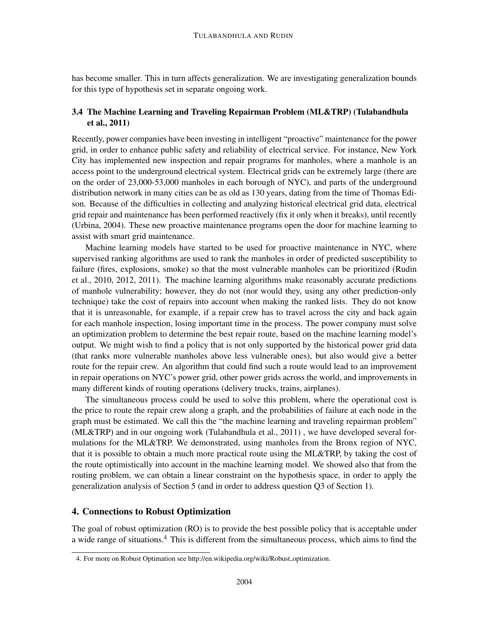has become smaller. This in turn affects generalization. We are investigating generalization bounds for this type of hypothesis set in separate ongoing work.

# 3.4 The Machine Learning and Traveling Repairman Problem (ML&TRP) (Tulabandhula et al., 2011)

Recently, power companies have been investing in intelligent "proactive" maintenance for the power grid, in order to enhance public safety and reliability of electrical service. For instance, New York City has implemented new inspection and repair programs for manholes, where a manhole is an access point to the underground electrical system. Electrical grids can be extremely large (there are on the order of 23,000-53,000 manholes in each borough of NYC), and parts of the underground distribution network in many cities can be as old as 130 years, dating from the time of Thomas Edison. Because of the difficulties in collecting and analyzing historical electrical grid data, electrical grid repair and maintenance has been performed reactively (fix it only when it breaks), until recently (Urbina, 2004). These new proactive maintenance programs open the door for machine learning to assist with smart grid maintenance.

Machine learning models have started to be used for proactive maintenance in NYC, where supervised ranking algorithms are used to rank the manholes in order of predicted susceptibility to failure (fires, explosions, smoke) so that the most vulnerable manholes can be prioritized (Rudin et al., 2010, 2012, 2011). The machine learning algorithms make reasonably accurate predictions of manhole vulnerability; however, they do not (nor would they, using any other prediction-only technique) take the cost of repairs into account when making the ranked lists. They do not know that it is unreasonable, for example, if a repair crew has to travel across the city and back again for each manhole inspection, losing important time in the process. The power company must solve an optimization problem to determine the best repair route, based on the machine learning model's output. We might wish to find a policy that is not only supported by the historical power grid data (that ranks more vulnerable manholes above less vulnerable ones), but also would give a better route for the repair crew. An algorithm that could find such a route would lead to an improvement in repair operations on NYC's power grid, other power grids across the world, and improvements in many different kinds of routing operations (delivery trucks, trains, airplanes).

The simultaneous process could be used to solve this problem, where the operational cost is the price to route the repair crew along a graph, and the probabilities of failure at each node in the graph must be estimated. We call this the "the machine learning and traveling repairman problem" (ML&TRP) and in our ongoing work (Tulabandhula et al., 2011) , we have developed several formulations for the ML&TRP. We demonstrated, using manholes from the Bronx region of NYC, that it is possible to obtain a much more practical route using the ML&TRP, by taking the cost of the route optimistically into account in the machine learning model. We showed also that from the routing problem, we can obtain a linear constraint on the hypothesis space, in order to apply the generalization analysis of Section 5 (and in order to address question Q3 of Section 1).

# 4. Connections to Robust Optimization

The goal of robust optimization (RO) is to provide the best possible policy that is acceptable under a wide range of situations.<sup>4</sup> This is different from the simultaneous process, which aims to find the

<sup>4.</sup> For more on Robust Optimation see http://en.wikipedia.org/wiki/Robust\_optimization.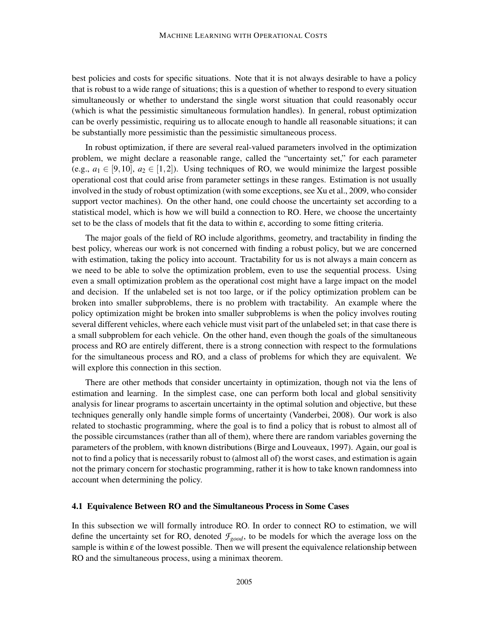best policies and costs for specific situations. Note that it is not always desirable to have a policy that is robust to a wide range of situations; this is a question of whether to respond to every situation simultaneously or whether to understand the single worst situation that could reasonably occur (which is what the pessimistic simultaneous formulation handles). In general, robust optimization can be overly pessimistic, requiring us to allocate enough to handle all reasonable situations; it can be substantially more pessimistic than the pessimistic simultaneous process.

In robust optimization, if there are several real-valued parameters involved in the optimization problem, we might declare a reasonable range, called the "uncertainty set," for each parameter (e.g.,  $a_1 \in [9, 10]$ ,  $a_2 \in [1, 2]$ ). Using techniques of RO, we would minimize the largest possible operational cost that could arise from parameter settings in these ranges. Estimation is not usually involved in the study of robust optimization (with some exceptions, see Xu et al., 2009, who consider support vector machines). On the other hand, one could choose the uncertainty set according to a statistical model, which is how we will build a connection to RO. Here, we choose the uncertainty set to be the class of models that fit the data to within ε, according to some fitting criteria.

The major goals of the field of RO include algorithms, geometry, and tractability in finding the best policy, whereas our work is not concerned with finding a robust policy, but we are concerned with estimation, taking the policy into account. Tractability for us is not always a main concern as we need to be able to solve the optimization problem, even to use the sequential process. Using even a small optimization problem as the operational cost might have a large impact on the model and decision. If the unlabeled set is not too large, or if the policy optimization problem can be broken into smaller subproblems, there is no problem with tractability. An example where the policy optimization might be broken into smaller subproblems is when the policy involves routing several different vehicles, where each vehicle must visit part of the unlabeled set; in that case there is a small subproblem for each vehicle. On the other hand, even though the goals of the simultaneous process and RO are entirely different, there is a strong connection with respect to the formulations for the simultaneous process and RO, and a class of problems for which they are equivalent. We will explore this connection in this section.

There are other methods that consider uncertainty in optimization, though not via the lens of estimation and learning. In the simplest case, one can perform both local and global sensitivity analysis for linear programs to ascertain uncertainty in the optimal solution and objective, but these techniques generally only handle simple forms of uncertainty (Vanderbei, 2008). Our work is also related to stochastic programming, where the goal is to find a policy that is robust to almost all of the possible circumstances (rather than all of them), where there are random variables governing the parameters of the problem, with known distributions (Birge and Louveaux, 1997). Again, our goal is not to find a policy that is necessarily robust to (almost all of) the worst cases, and estimation is again not the primary concern for stochastic programming, rather it is how to take known randomness into account when determining the policy.

### 4.1 Equivalence Between RO and the Simultaneous Process in Some Cases

In this subsection we will formally introduce RO. In order to connect RO to estimation, we will define the uncertainty set for RO, denoted *Fgood*, to be models for which the average loss on the sample is within ε of the lowest possible. Then we will present the equivalence relationship between RO and the simultaneous process, using a minimax theorem.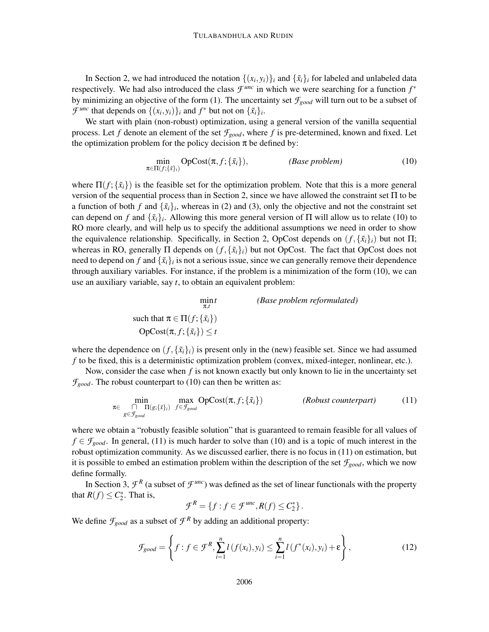In Section 2, we had introduced the notation  $\{(x_i, y_i)\}_i$  and  $\{\tilde{x}_i\}_i$  for labeled and unlabeled data respectively. We had also introduced the class  $\mathcal{F}^{unc}$  in which we were searching for a function  $f^*$ by minimizing an objective of the form (1). The uncertainty set *Fgood* will turn out to be a subset of *F*<sup>*unc*</sup> that depends on  $\{(x_i, y_i)\}_i$  and  $f^*$  but not on  $\{\tilde{x}_i\}_i$ .

We start with plain (non-robust) optimization, using a general version of the vanilla sequential process. Let *f* denote an element of the set  $f_{good}$ , where *f* is pre-determined, known and fixed. Let the optimization problem for the policy decision  $\pi$  be defined by:

$$
\min_{\pi \in \Pi(f; \{\tilde{x}\}_i)} \text{OpCost}(\pi, f; \{\tilde{x}_i\}), \qquad (\text{Base problem}) \tag{10}
$$

where  $\Pi(f; \{\tilde{x}_i\})$  is the feasible set for the optimization problem. Note that this is a more general version of the sequential process than in Section 2, since we have allowed the constraint set Π to be a function of both *f* and  $\{\tilde{x}_i\}_i$ , whereas in (2) and (3), only the objective and not the constraint set can depend on *f* and  $\{\tilde{x}_i\}_i$ . Allowing this more general version of  $\Pi$  will allow us to relate (10) to RO more clearly, and will help us to specify the additional assumptions we need in order to show the equivalence relationship. Specifically, in Section 2, OpCost depends on  $(f, \{x_i\}_i)$  but not  $\Pi$ ; whereas in RO, generally  $\Pi$  depends on  $(f, \{\tilde{x}_i\}_i)$  but not OpCost. The fact that OpCost does not need to depend on *f* and  $\{\tilde{x}_i\}_i$  is not a serious issue, since we can generally remove their dependence through auxiliary variables. For instance, if the problem is a minimization of the form (10), we can use an auxiliary variable, say *t*, to obtain an equivalent problem:

$$
\min_{\pi,t} \qquad \qquad (Base problem reformulated)
$$
\nsuch that  $\pi \in \Pi(f; \{\tilde{x}_i\})$ 

\nOpCost( $\pi, f; \{\tilde{x}_i\}$ )  $\leq t$ 

where the dependence on  $(f, \{\tilde{x}_i\}_i)$  is present only in the (new) feasible set. Since we had assumed *f* to be fixed, this is a deterministic optimization problem (convex, mixed-integer, nonlinear, etc.).

Now, consider the case when *f* is not known exactly but only known to lie in the uncertainty set  $\mathcal{F}_{good}$ . The robust counterpart to (10) can then be written as:

$$
\min_{\pi \in \bigcap_{g \in \mathcal{F}_{good}} \Pi(g; \{\bar{x}\}_i) } \max_{f \in \mathcal{F}_{good}} \text{OpCost}(\pi, f; \{\tilde{x}_i\}) \qquad \qquad (Robust counterpart) \qquad (11)
$$

where we obtain a "robustly feasible solution" that is guaranteed to remain feasible for all values of  $f \in \mathcal{F}_{good}$ . In general, (11) is much harder to solve than (10) and is a topic of much interest in the robust optimization community. As we discussed earlier, there is no focus in (11) on estimation, but it is possible to embed an estimation problem within the description of the set  $f_{good}$ , which we now define formally.

In Section 3,  $\mathcal{F}^R$  (a subset of  $\mathcal{F}^{unc}$ ) was defined as the set of linear functionals with the property that  $R(f) \leq C_2^*$ . That is,

$$
\mathcal{F}^R = \{f : f \in \mathcal{F}^{unc}, R(f) \leq C_2^*\}.
$$

We define  $f_{good}$  as a subset of  $f^R$  by adding an additional property:

$$
\mathcal{F}_{good} = \left\{ f : f \in \mathcal{F}^R, \sum_{i=1}^n l(f(x_i), y_i) \leq \sum_{i=1}^n l(f^*(x_i), y_i) + \varepsilon \right\},\tag{12}
$$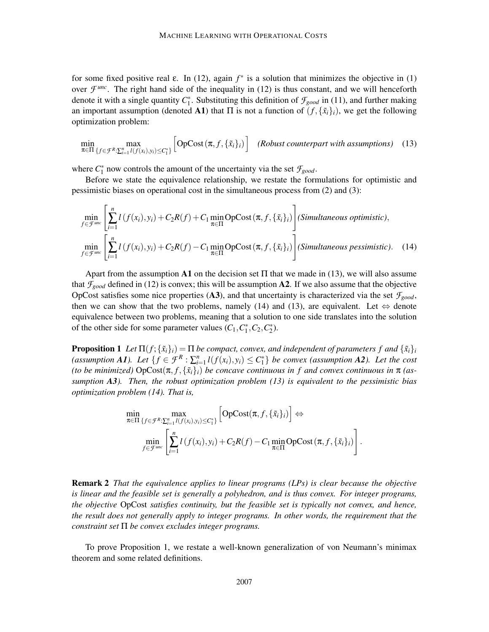for some fixed positive real  $\varepsilon$ . In (12), again  $f^*$  is a solution that minimizes the objective in (1) over  $\mathcal{F}^{unc}$ . The right hand side of the inequality in (12) is thus constant, and we will henceforth denote it with a single quantity  $C_1^*$ . Substituting this definition of  $\mathcal{F}_{good}$  in (11), and further making an important assumption (denoted A1) that  $\Pi$  is not a function of  $(f, \{x_i\}_i)$ , we get the following optimization problem:

$$
\min_{\pi \in \Pi} \max_{\{f \in \mathcal{F}^R: \sum_{i=1}^n l(f(x_i), y_i) \leq C_1^*\}} \left[ \text{OpCost}\left(\pi, f, \{\tilde{x}_i\}_i\right) \right] \quad \text{(Robust counterpart with assumptions)} \quad (13)
$$

where  $C_1^*$  now controls the amount of the uncertainty via the set  $\mathcal{F}_{good}$ .

Before we state the equivalence relationship, we restate the formulations for optimistic and pessimistic biases on operational cost in the simultaneous process from (2) and (3):

$$
\min_{f \in \mathcal{F}^{\text{unc}}} \left[ \sum_{i=1}^{n} l(f(x_i), y_i) + C_2 R(f) + C_1 \min_{\pi \in \Pi} \text{OpCost}(\pi, f, \{\tilde{x}_i\}_i) \right] \text{(Simultaneous optimistic)},
$$
\n
$$
\min_{f \in \mathcal{F}^{\text{unc}}} \left[ \sum_{i=1}^{n} l(f(x_i), y_i) + C_2 R(f) - C_1 \min_{\pi \in \Pi} \text{OpCost}(\pi, f, \{\tilde{x}_i\}_i) \right] \text{(Simultaneous pessimistic)}.\tag{14}
$$

Apart from the assumption A1 on the decision set  $\Pi$  that we made in (13), we will also assume that  $f_{good}$  defined in (12) is convex; this will be assumption A2. If we also assume that the objective OpCost satisfies some nice properties (A3), and that uncertainty is characterized via the set  $\mathcal{F}_{good}$ , then we can show that the two problems, namely (14) and (13), are equivalent. Let  $\Leftrightarrow$  denote equivalence between two problems, meaning that a solution to one side translates into the solution of the other side for some parameter values  $(C_1, C_1^*, C_2, C_2^*)$ .

**Proposition 1** Let  $\Pi(f; \{\tilde{x}_i\}_i) = \Pi$  be compact, convex, and independent of parameters f and  $\{\tilde{x}_i\}_i$ (assumption A1). Let  $\{f \in \mathcal{F}^R : \sum_{i=1}^n l(f(x_i), y_i) \leq C_1^*\}$  be convex (assumption A2). Let the cost *(to be minimized)*  $OpCost(\pi, f, \{\tilde{x}_i\}_i)$  *be concave continuous in f and convex continuous in*  $\pi$  *(assumption A3). Then, the robust optimization problem (13) is equivalent to the pessimistic bias optimization problem (14). That is,*

$$
\min_{\pi \in \Pi} \max_{\{f \in \mathcal{F}^R : \sum_{i=1}^n l(f(x_i), y_i) \leq C_1^*\}} \left[ \operatorname{OpCost}(\pi, f, \{\tilde{x}_i\}_i) \right] \Leftrightarrow \n\min_{f \in \mathcal{F}^{unc}} \left[ \sum_{i=1}^n l(f(x_i), y_i) + C_2 R(f) - C_1 \min_{\pi \in \Pi} \operatorname{OpCost}(\pi, f, \{\tilde{x}_i\}_i) \right].
$$

Remark 2 *That the equivalence applies to linear programs (LPs) is clear because the objective is linear and the feasible set is generally a polyhedron, and is thus convex. For integer programs, the objective* OpCost *satisfies continuity, but the feasible set is typically not convex, and hence, the result does not generally apply to integer programs. In other words, the requirement that the constraint set* Π *be convex excludes integer programs.*

To prove Proposition 1, we restate a well-known generalization of von Neumann's minimax theorem and some related definitions.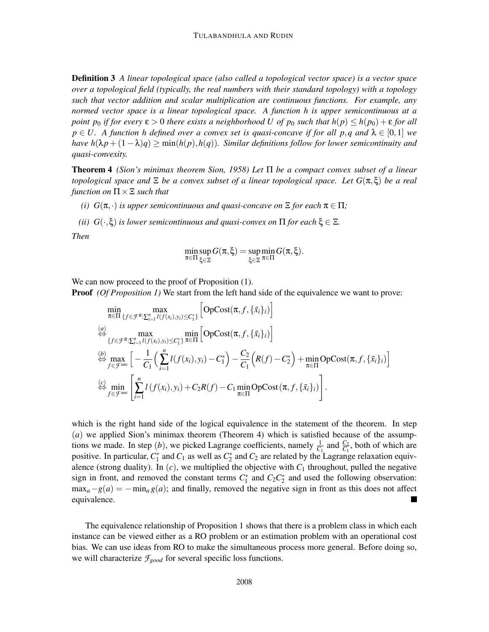Definition 3 *A linear topological space (also called a topological vector space) is a vector space over a topological field (typically, the real numbers with their standard topology) with a topology such that vector addition and scalar multiplication are continuous functions. For example, any normed vector space is a linear topological space. A function h is upper semicontinuous at a point p<sub>0</sub> if for every*  $\epsilon > 0$  *there exists a neighborhood U of p<sub>0</sub> such that*  $h(p) \leq h(p_0) + \epsilon$  *for all*  $p \in U$ . A function h defined over a convex set is quasi-concave if for all p, q and  $\lambda \in [0,1]$  we *have h*( $\lambda p + (1 - \lambda)q$ ) ≥ min(*h*(*p*),*h*(*q*)). Similar definitions follow for lower semicontinuity and *quasi-convexity.*

Theorem 4 *(Sion's minimax theorem Sion, 1958) Let* Π *be a compact convex subset of a linear topological space and* Ξ *be a convex subset of a linear topological space. Let G*(π,ξ) *be a real function on*  $\Pi \times \Xi$  *such that* 

- *(i)*  $G(\pi, \cdot)$  *is upper semicontinuous and quasi-concave on*  $\Xi$  *for each*  $\pi \in \Pi$ *;*
- *(ii)*  $G(\cdot,\xi)$  *is lower semicontinuous and quasi-convex on*  $\Pi$  *for each*  $\xi \in \Xi$ *.*

*Then*

$$
\min_{\pi \in \Pi} \sup_{\xi \in \Xi} G(\pi,\xi) = \sup_{\xi \in \Xi} \min_{\pi \in \Pi} G(\pi,\xi).
$$

We can now proceed to the proof of Proposition  $(1)$ .

**Proof** *(Of Proposition 1)* We start from the left hand side of the equivalence we want to prove:

$$
\min_{\pi \in \Pi} \max_{\{f \in \mathcal{F}^R : \sum_{i=1}^n l(f(x_i), y_i) \le C_1^*\}} \left[ \operatorname{OpCost}(\pi, f, \{\tilde{x}_i\}_i) \right]
$$
\n
$$
\stackrel{(a)}{\Leftrightarrow} \max_{\{f \in \mathcal{F}^R : \sum_{i=1}^n l(f(x_i), y_i) \le C_1^*\}} \min_{\pi \in \Pi} \left[ \operatorname{OpCost}(\pi, f, \{\tilde{x}_i\}_i) \right]
$$
\n
$$
\stackrel{(b)}{\Leftrightarrow} \max_{f \in \mathcal{F}^{\text{unc}}} \left[ -\frac{1}{C_1} \left( \sum_{i=1}^n l(f(x_i), y_i) - C_1^* \right) - \frac{C_2}{C_1} \left( R(f) - C_2^* \right) + \min_{\pi \in \Pi} \operatorname{OpCost}(\pi, f, \{\tilde{x}_i\}_i) \right]
$$
\n
$$
\stackrel{(c)}{\Leftrightarrow} \min_{f \in \mathcal{F}^{\text{unc}}} \left[ \sum_{i=1}^n l(f(x_i), y_i) + C_2 R(f) - C_1 \min_{\pi \in \Pi} \operatorname{OpCost}(\pi, f, \{\tilde{x}_i\}_i) \right].
$$

which is the right hand side of the logical equivalence in the statement of the theorem. In step (*a*) we applied Sion's minimax theorem (Theorem 4) which is satisfied because of the assumptions we made. In step (*b*), we picked Lagrange coefficients, namely  $\frac{1}{C_1}$  and  $\frac{C_2}{C_1}$ , both of which are positive. In particular,  $C_1^*$  and  $C_1$  as well as  $C_2^*$  and  $C_2$  are related by the Lagrange relaxation equivalence (strong duality). In  $(c)$ , we multiplied the objective with  $C_1$  throughout, pulled the negative sign in front, and removed the constant terms  $C_1^*$  and  $C_2C_2^*$  and used the following observation:  $\max_{a} -g(a) = -\min_{a} g(a)$ ; and finally, removed the negative sign in front as this does not affect equivalence.

The equivalence relationship of Proposition 1 shows that there is a problem class in which each instance can be viewed either as a RO problem or an estimation problem with an operational cost bias. We can use ideas from RO to make the simultaneous process more general. Before doing so, we will characterize *Fgood* for several specific loss functions.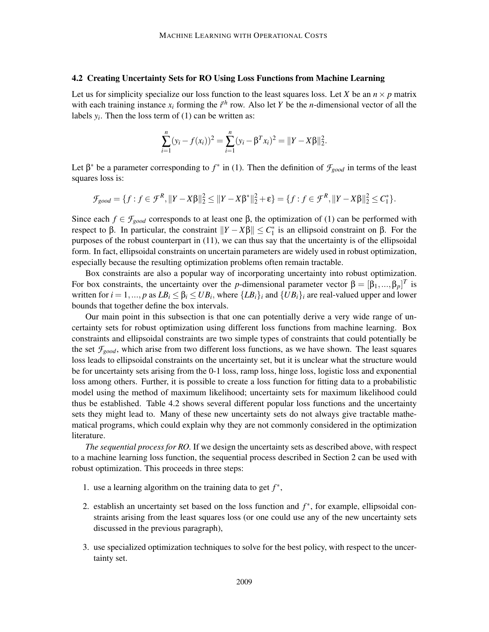### 4.2 Creating Uncertainty Sets for RO Using Loss Functions from Machine Learning

Let us for simplicity specialize our loss function to the least squares loss. Let *X* be an  $n \times p$  matrix with each training instance  $x_i$  forming the  $i^{\text{th}}$  row. Also let *Y* be the *n*-dimensional vector of all the labels  $y_i$ . Then the loss term of (1) can be written as:

$$
\sum_{i=1}^{n} (y_i - f(x_i))^2 = \sum_{i=1}^{n} (y_i - \beta^T x_i)^2 = ||Y - X\beta||_2^2.
$$

Let  $\beta^*$  be a parameter corresponding to  $f^*$  in (1). Then the definition of  $\mathcal{F}_{good}$  in terms of the least squares loss is:

$$
\mathcal{F}_{good} = \{f : f \in \mathcal{F}^R, ||Y - X\beta||_2^2 \le ||Y - X\beta^*||_2^2 + \varepsilon\} = \{f : f \in \mathcal{F}^R, ||Y - X\beta||_2^2 \le C_1^*\}.
$$

Since each  $f \in \mathcal{F}_{good}$  corresponds to at least one  $\beta$ , the optimization of (1) can be performed with respect to β. In particular, the constraint  $||Y - Xβ|| \leq C_1^*$  is an ellipsoid constraint on β. For the purposes of the robust counterpart in (11), we can thus say that the uncertainty is of the ellipsoidal form. In fact, ellipsoidal constraints on uncertain parameters are widely used in robust optimization, especially because the resulting optimization problems often remain tractable.

Box constraints are also a popular way of incorporating uncertainty into robust optimization. For box constraints, the uncertainty over the *p*-dimensional parameter vector  $\beta = [\beta_1, ..., \beta_p]^T$  is written for  $i = 1, ..., p$  as  $LB_i \leq \beta_i \leq UB_i$ , where  $\{LB_i\}_i$  and  $\{UB_i\}_i$  are real-valued upper and lower bounds that together define the box intervals.

Our main point in this subsection is that one can potentially derive a very wide range of uncertainty sets for robust optimization using different loss functions from machine learning. Box constraints and ellipsoidal constraints are two simple types of constraints that could potentially be the set  $\mathcal{F}_{good}$ , which arise from two different loss functions, as we have shown. The least squares loss leads to ellipsoidal constraints on the uncertainty set, but it is unclear what the structure would be for uncertainty sets arising from the 0-1 loss, ramp loss, hinge loss, logistic loss and exponential loss among others. Further, it is possible to create a loss function for fitting data to a probabilistic model using the method of maximum likelihood; uncertainty sets for maximum likelihood could thus be established. Table 4.2 shows several different popular loss functions and the uncertainty sets they might lead to. Many of these new uncertainty sets do not always give tractable mathematical programs, which could explain why they are not commonly considered in the optimization literature.

*The sequential process for RO.* If we design the uncertainty sets as described above, with respect to a machine learning loss function, the sequential process described in Section 2 can be used with robust optimization. This proceeds in three steps:

- 1. use a learning algorithm on the training data to get  $f^*$ ,
- 2. establish an uncertainty set based on the loss function and *f* ∗ , for example, ellipsoidal constraints arising from the least squares loss (or one could use any of the new uncertainty sets discussed in the previous paragraph),
- 3. use specialized optimization techniques to solve for the best policy, with respect to the uncertainty set.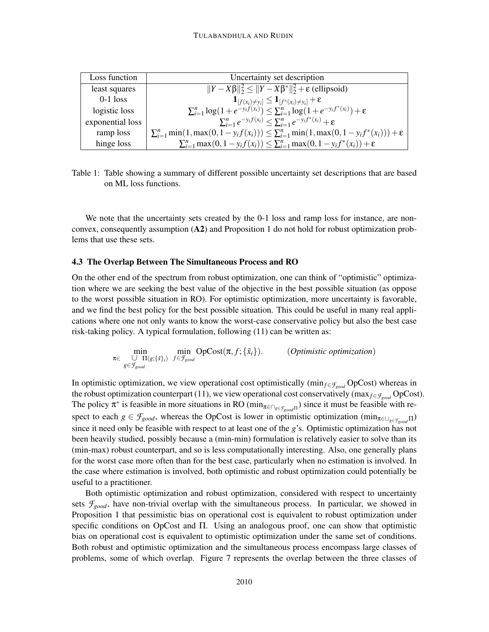| Loss function    | Uncertainty set description                                                                                                                                                                |
|------------------|--------------------------------------------------------------------------------------------------------------------------------------------------------------------------------------------|
| least squares    | $  Y-X\beta  _2^2 \le   Y-X\beta^*  _2^2 + \varepsilon$ (ellipsoid)                                                                                                                        |
| $0-1$ loss       |                                                                                                                                                                                            |
| logistic loss    | $\mathbf{1}_{[f(x_i)\neq y_i]} \leq \mathbf{1}_{[f^*(x_i)\neq y_i]} + \varepsilon$<br>$\sum_{i=1}^n \log(1 + e^{-y_i f(x_i)}) \leq \sum_{i=1}^n \log(1 + e^{-y_i f^*(x_i)}) + \varepsilon$ |
| exponential loss | $\sum_{i=1}^n e^{-y_i f(x_i)} \leq \sum_{i=1}^n e^{-y_i f^*(x_i)} + \varepsilon$                                                                                                           |
| ramp loss        | $\sum_{i=1}^n \min(1, \max(0, 1 - y_i f(x_i))) \leq \sum_{i=1}^n \min(1, \max(0, 1 - y_i f^*(x_i))) + \varepsilon$                                                                         |
| hinge loss       | $\sum_{i=1}^n \max(0, 1 - y_i f(x_i)) \leq \sum_{i=1}^n \max(0, 1 - y_i f^*(x_i)) + \varepsilon$                                                                                           |

Table 1: Table showing a summary of different possible uncertainty set descriptions that are based on ML loss functions.

We note that the uncertainty sets created by the 0-1 loss and ramp loss for instance, are nonconvex, consequently assumption (A2) and Proposition 1 do not hold for robust optimization problems that use these sets.

### 4.3 The Overlap Between The Simultaneous Process and RO

On the other end of the spectrum from robust optimization, one can think of "optimistic" optimization where we are seeking the best value of the objective in the best possible situation (as oppose to the worst possible situation in RO). For optimistic optimization, more uncertainty is favorable, and we find the best policy for the best possible situation. This could be useful in many real applications where one not only wants to know the worst-case conservative policy but also the best case risk-taking policy. A typical formulation, following (11) can be written as:

$$
\min_{\pi \in \bigcup_{g \in \mathcal{F}_{good}} \text{min} \atop g \in \mathcal{F}_{good}} \text{OpCost}(\pi, f; \{\tilde{x}_i\}).
$$
 (*Optimistic optimization*)

In optimistic optimization, we view operational cost optimistically (min*f*∈*Fgood* OpCost) whereas in the robust optimization counterpart (11), we view operational cost conservatively (max $_{f \in \mathcal{F}_{good}}$  OpCost). The policy  $\pi^*$  is feasible in more situations in RO ( $\min_{\pi \in \bigcap_{g \in \mathcal{F}_{good} \Pi}}$ ) since it must be feasible with respect to each  $g \in \mathcal{F}_{good}$ , whereas the OpCost is lower in optimistic optimization (min<sub>π∈∪*g*∈*F*<sub>*good*</sub> Π</sub>) since it need only be feasible with respect to at least one of the *g*'s. Optimistic optimization has not been heavily studied, possibly because a (min-min) formulation is relatively easier to solve than its (min-max) robust counterpart, and so is less computationally interesting. Also, one generally plans for the worst case more often than for the best case, particularly when no estimation is involved. In the case where estimation is involved, both optimistic and robust optimization could potentially be useful to a practitioner.

Both optimistic optimization and robust optimization, considered with respect to uncertainty sets  $f_{good}$ , have non-trivial overlap with the simultaneous process. In particular, we showed in Proposition 1 that pessimistic bias on operational cost is equivalent to robust optimization under specific conditions on OpCost and Π. Using an analogous proof, one can show that optimistic bias on operational cost is equivalent to optimistic optimization under the same set of conditions. Both robust and optimistic optimization and the simultaneous process encompass large classes of problems, some of which overlap. Figure 7 represents the overlap between the three classes of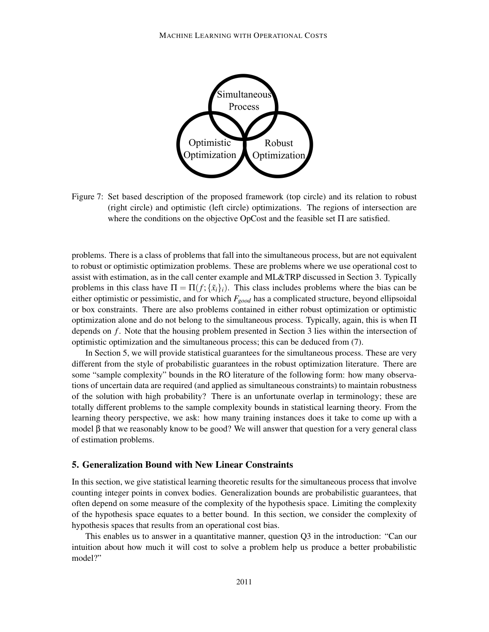![](_page_22_Figure_1.jpeg)

Figure 7: Set based description of the proposed framework (top circle) and its relation to robust (right circle) and optimistic (left circle) optimizations. The regions of intersection are where the conditions on the objective OpCost and the feasible set Π are satisfied.

problems. There is a class of problems that fall into the simultaneous process, but are not equivalent to robust or optimistic optimization problems. These are problems where we use operational cost to assist with estimation, as in the call center example and ML&TRP discussed in Section 3. Typically problems in this class have  $\Pi = \Pi(f; \{\tilde{x}_i\}_i)$ . This class includes problems where the bias can be either optimistic or pessimistic, and for which *Fgood* has a complicated structure, beyond ellipsoidal or box constraints. There are also problems contained in either robust optimization or optimistic optimization alone and do not belong to the simultaneous process. Typically, again, this is when  $\Pi$ depends on *f* . Note that the housing problem presented in Section 3 lies within the intersection of optimistic optimization and the simultaneous process; this can be deduced from (7).

In Section 5, we will provide statistical guarantees for the simultaneous process. These are very different from the style of probabilistic guarantees in the robust optimization literature. There are some "sample complexity" bounds in the RO literature of the following form: how many observations of uncertain data are required (and applied as simultaneous constraints) to maintain robustness of the solution with high probability? There is an unfortunate overlap in terminology; these are totally different problems to the sample complexity bounds in statistical learning theory. From the learning theory perspective, we ask: how many training instances does it take to come up with a model β that we reasonably know to be good? We will answer that question for a very general class of estimation problems.

### 5. Generalization Bound with New Linear Constraints

In this section, we give statistical learning theoretic results for the simultaneous process that involve counting integer points in convex bodies. Generalization bounds are probabilistic guarantees, that often depend on some measure of the complexity of the hypothesis space. Limiting the complexity of the hypothesis space equates to a better bound. In this section, we consider the complexity of hypothesis spaces that results from an operational cost bias.

This enables us to answer in a quantitative manner, question Q3 in the introduction: "Can our intuition about how much it will cost to solve a problem help us produce a better probabilistic model?"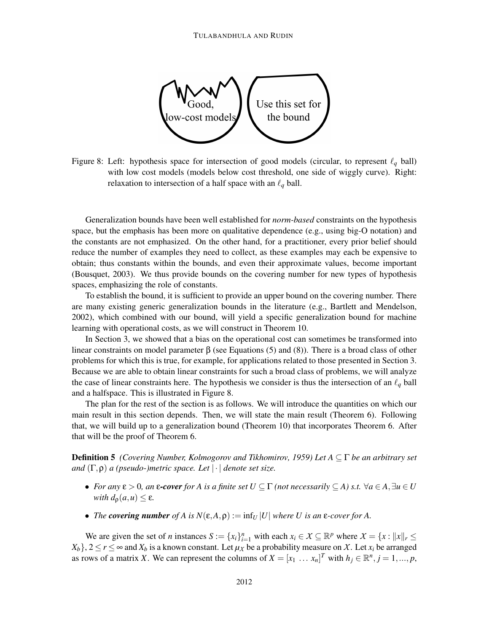![](_page_23_Figure_1.jpeg)

Figure 8: Left: hypothesis space for intersection of good models (circular, to represent  $\ell_q$  ball) with low cost models (models below cost threshold, one side of wiggly curve). Right: relaxation to intersection of a half space with an  $\ell_q$  ball.

Generalization bounds have been well established for *norm-based* constraints on the hypothesis space, but the emphasis has been more on qualitative dependence (e.g., using big-O notation) and the constants are not emphasized. On the other hand, for a practitioner, every prior belief should reduce the number of examples they need to collect, as these examples may each be expensive to obtain; thus constants within the bounds, and even their approximate values, become important (Bousquet, 2003). We thus provide bounds on the covering number for new types of hypothesis spaces, emphasizing the role of constants.

To establish the bound, it is sufficient to provide an upper bound on the covering number. There are many existing generic generalization bounds in the literature (e.g., Bartlett and Mendelson, 2002), which combined with our bound, will yield a specific generalization bound for machine learning with operational costs, as we will construct in Theorem 10.

In Section 3, we showed that a bias on the operational cost can sometimes be transformed into linear constraints on model parameter  $β$  (see Equations (5) and (8)). There is a broad class of other problems for which this is true, for example, for applications related to those presented in Section 3. Because we are able to obtain linear constraints for such a broad class of problems, we will analyze the case of linear constraints here. The hypothesis we consider is thus the intersection of an  $\ell_q$  ball and a halfspace. This is illustrated in Figure 8.

The plan for the rest of the section is as follows. We will introduce the quantities on which our main result in this section depends. Then, we will state the main result (Theorem 6). Following that, we will build up to a generalization bound (Theorem 10) that incorporates Theorem 6. After that will be the proof of Theorem 6.

Definition 5 *(Covering Number, Kolmogorov and Tikhomirov, 1959) Let A* ⊆ Γ *be an arbitrary set and* (Γ,ρ) *a (pseudo-)metric space. Let* | · | *denote set size.*

- *For any*  $\varepsilon > 0$ *, an*  $\varepsilon$ *-cover for A is a finite set*  $U \subseteq \Gamma$  *(not necessarily*  $\subseteq$  *A) s.t.*  $\forall a \in A$ ,  $\exists u \in U$ *with*  $d_{\rho}(a, u) \leq \varepsilon$ .
- *The covering number* of A is  $N(\varepsilon, A, \rho) := \inf_U |U|$  where U is an  $\varepsilon$ -cover for A.

We are given the set of *n* instances  $S := \{x_i\}_{i=1}^n$  with each  $x_i \in \mathcal{X} \subseteq \mathbb{R}^p$  where  $\mathcal{X} = \{x : ||x||_r \leq \mathcal{X} \leq \mathcal{X} \}$  $X_b$ ,  $2 \le r \le \infty$  and  $X_b$  is a known constant. Let  $\mu_X$  be a probability measure on X. Let  $x_i$  be arranged as rows of a matrix *X*. We can represent the columns of  $X = [x_1 \dots x_n]^T$  with  $h_j \in \mathbb{R}^n, j = 1, ..., p$ ,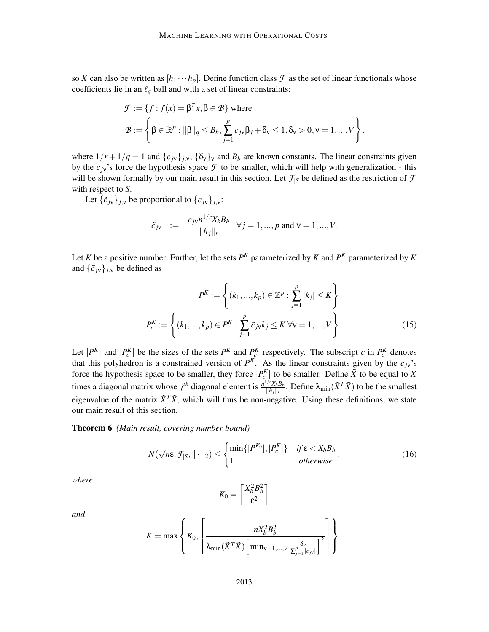so *X* can also be written as  $[h_1 \cdots h_p]$ . Define function class  $\mathcal F$  as the set of linear functionals whose coefficients lie in an  $\ell_q$  ball and with a set of linear constraints:

$$
\mathcal{F} := \{ f : f(x) = \beta^T x, \beta \in \mathcal{B} \} \text{ where}
$$
  

$$
\mathcal{B} := \left\{ \beta \in \mathbb{R}^p : ||\beta||_q \leq B_b, \sum_{j=1}^p c_{j\mathbf{v}} \beta_j + \delta_{\mathbf{v}} \leq 1, \delta_{\mathbf{v}} > 0, \mathbf{v} = 1, ..., V \right\},
$$

where  $1/r + 1/q = 1$  and  $\{c_{j} \}_{j,v}$ ,  $\{\delta_{v}\}_{v}$  and  $B_{b}$  are known constants. The linear constraints given by the  $c<sub>j</sub>$ 's force the hypothesis space  $\mathcal F$  to be smaller, which will help with generalization - this will be shown formally by our main result in this section. Let  $\mathcal{F}_{|S}$  be defined as the restriction of  $\mathcal F$ with respect to *S*.

Let  $\{\tilde{c}_{jv}\}_{j,v}$  be proportional to  $\{c_{jv}\}_{j,v}$ :

$$
\tilde{c}_{jv}
$$
 :=  $\frac{c_{jv}n^{1/r}X_bB_b}{\|h_j\|_r}$   $\forall j = 1,..., p$  and  $v = 1,..., V$ .

Let *K* be a positive number. Further, let the sets  $P^K$  parameterized by *K* and  $P_c^K$  parameterized by *K* and  $\{\tilde{c}_{jv}\}_{j,v}$  be defined as

$$
P^{K} := \left\{ (k_{1}, ..., k_{p}) \in \mathbb{Z}^{p} : \sum_{j=1}^{p} |k_{j}| \leq K \right\}.
$$

$$
P_{c}^{K} := \left\{ (k_{1}, ..., k_{p}) \in P^{K} : \sum_{j=1}^{p} \tilde{c}_{j} \times k_{j} \leq K \,\forall \nu = 1, ..., V \right\}.
$$
(15)

Let  $|P^K|$  and  $|P_c^K|$  be the sizes of the sets  $P^K$  and  $P_c^K$  respectively. The subscript *c* in  $P_c^K$  denotes that this polyhedron is a constrained version of  $P^{K}$ . As the linear constraints given by the  $c_{j}$ 's force the hypothesis space to be smaller, they force  $|P_{c}^{K}|$  to be smaller. Define  $\tilde{X}$  to be equal to *X* times a diagonal matrix whose  $j<sup>th</sup>$  diagonal element is  $\frac{n^{1/r}X_bB_b}{||b||}$  $\frac{f(Y \chi_b B_b)}{\|h_j\|_r}$ . Define  $\lambda_{\min}(\tilde{X}^T \tilde{X})$  to be the smallest eigenvalue of the matrix  $\tilde{X}^T\tilde{X}$ , which will thus be non-negative. Using these definitions, we state our main result of this section.

Theorem 6 *(Main result, covering number bound)*

$$
N(\sqrt{n}\varepsilon, \mathcal{F}_{|S}, \|\cdot\|_2) \leq \begin{cases} \min\{|P^{K_0}|, |P_c^K|\} & \text{if } \varepsilon < X_b B_b \\ 1 & \text{otherwise} \end{cases},\tag{16}
$$

*where*

$$
K_0 = \left\lceil \frac{X_b^2 B_b^2}{\varepsilon^2} \right\rceil
$$

*and*

$$
K = \max \left\{ K_0, \left\lceil \frac{n X_b^2 B_b^2}{\lambda_{\min}(\tilde{X}^T \tilde{X}) \left[ \min_{\mathsf{v}=1,\dots,V} \frac{\delta_{\mathsf{v}}}{\Sigma_{j=1}^p |\tilde{c}_{j\mathsf{v}}|} \right]^2} \right\rceil \right\}.
$$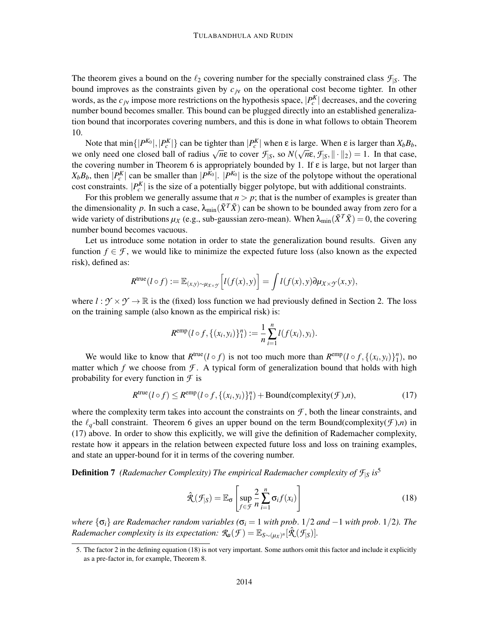The theorem gives a bound on the  $\ell_2$  covering number for the specially constrained class  $\mathcal{F}_{|S}$ . The bound improves as the constraints given by  $c<sub>j</sub>y$  on the operational cost become tighter. In other words, as the  $c_j$  impose more restrictions on the hypothesis space,  $|P_c^K|$  decreases, and the covering number bound becomes smaller. This bound can be plugged directly into an established generalization bound that incorporates covering numbers, and this is done in what follows to obtain Theorem 10.

Note that  $\min\{|P^{K_0}|, |P^K_c|\}$  can be tighter than  $|P^{K}_c|$  when ε is large. When ε is larger than  $X_bB_b$ , we only need one closed ball of radius  $\sqrt{n}\epsilon$  to cover  $\mathcal{F}_{|S}$ , so  $N(\sqrt{n}\epsilon, \mathcal{F}_{|S}$ ,  $\|\cdot\|_2) = 1$ . In that case, the covering number in Theorem 6 is appropriately bounded by 1. If  $\varepsilon$  is large, but not larger than  $X_b B_b$ , then  $|P_c^K|$  can be smaller than  $|P^{K_0}|$ .  $|P^{K_0}|$  is the size of the polytope without the operational cost constraints.  $|P_c^K|$  is the size of a potentially bigger polytope, but with additional constraints.

For this problem we generally assume that  $n > p$ ; that is the number of examples is greater than the dimensionality p. In such a case,  $\lambda_{\min}(\tilde{X}^T\tilde{X})$  can be shown to be bounded away from zero for a wide variety of distributions  $\mu_X$  (e.g., sub-gaussian zero-mean). When  $\lambda_{\min}(\tilde{X}^T\tilde{X}) = 0$ , the covering number bound becomes vacuous.

Let us introduce some notation in order to state the generalization bound results. Given any function  $f \in \mathcal{F}$ , we would like to minimize the expected future loss (also known as the expected risk), defined as:

$$
R^{\text{true}}(l \circ f) := \mathbb{E}_{(x,y)\sim \mu_{X\times \mathcal{Y}}}\Big[l(f(x), y)\Big] = \int l(f(x), y) \partial \mu_{X\times \mathcal{Y}}(x, y),
$$

where  $l : \mathcal{Y} \times \mathcal{Y} \to \mathbb{R}$  is the (fixed) loss function we had previously defined in Section 2. The loss on the training sample (also known as the empirical risk) is:

$$
R^{\text{emp}}(l \circ f, \{(x_i, y_i)\}_1^n) := \frac{1}{n} \sum_{i=1}^n l(f(x_i), y_i).
$$

We would like to know that  $R^{\text{true}}(l \circ f)$  is not too much more than  $R^{\text{emp}}(l \circ f, \{(x_i, y_i)\}_1^n)$ , no matter which *f* we choose from  $\mathcal{F}$ . A typical form of generalization bound that holds with high probability for every function in *F* is

$$
R^{\text{true}}(l \circ f) \le R^{\text{emp}}(l \circ f, \{(x_i, y_i)\}_1^n) + \text{Bound}(\text{complexity}(\mathcal{F}), n),\tag{17}
$$

where the complexity term takes into account the constraints on  $\mathcal{F}$ , both the linear constraints, and the  $\ell_q$ -ball constraint. Theorem 6 gives an upper bound on the term Bound(complexity( $f$ ),*n*) in (17) above. In order to show this explicitly, we will give the definition of Rademacher complexity, restate how it appears in the relation between expected future loss and loss on training examples, and state an upper-bound for it in terms of the covering number.

Definition 7 *(Rademacher Complexity) The empirical Rademacher complexity of F*|*<sup>S</sup> is*5

$$
\hat{\mathcal{R}}(\mathcal{F}_{|S}) = \mathbb{E}_{\sigma} \left[ \sup_{f \in \mathcal{F}} \frac{2}{n} \sum_{i=1}^{n} \sigma_i f(x_i) \right]
$$
(18)

*where*  $\{\sigma_i\}$  *are Rademacher random variables* ( $\sigma_i = 1$  *with prob.* 1/2 *and* −1 *with prob.* 1/2*). The Rademacher complexity is its expectation:*  $\mathcal{R}_n(\mathcal{F}) = \mathbb{E}_{S \sim (\mu_X)^n} [\hat{\mathcal{R}}(\mathcal{F}_{|S})]$ .

<sup>5.</sup> The factor 2 in the defining equation (18) is not very important. Some authors omit this factor and include it explicitly as a pre-factor in, for example, Theorem 8.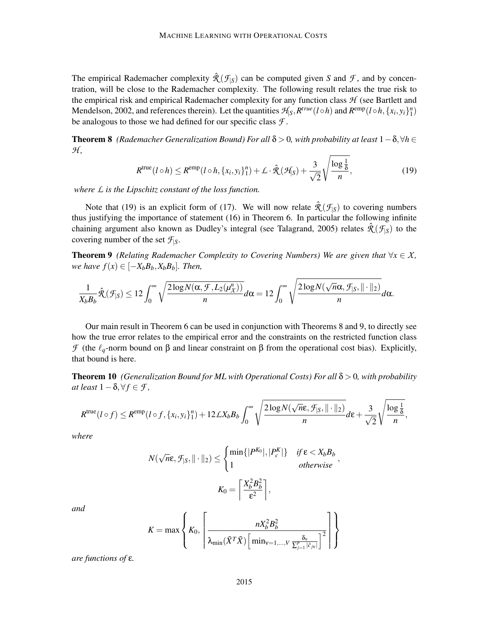The empirical Rademacher complexity  $\hat{\mathcal{R}}(\mathcal{F}_{|S})$  can be computed given *S* and *F*, and by concentration, will be close to the Rademacher complexity. The following result relates the true risk to the empirical risk and empirical Rademacher complexity for any function class *H* (see Bartlett and Mendelson, 2002, and references therein). Let the quantities  $\mathcal{H}_{S}$ ,  $R^{true}(l \circ h)$  and  $R^{emp}(l \circ h, \{x_i, y_i\}_1^n)$ be analogous to those we had defined for our specific class *F* .

**Theorem 8** *(Rademacher Generalization Bound) For all*  $\delta > 0$ *, with probability at least*  $1 - \delta$ , $\forall h \in$ *H ,*

$$
R^{\text{true}}(l \circ h) \leq R^{\text{emp}}(l \circ h, \{x_i, y_i\}_1^n) + \mathcal{L} \cdot \hat{\mathcal{R}}(\mathcal{H}_S) + \frac{3}{\sqrt{2}} \sqrt{\frac{\log \frac{1}{\delta}}{n}},
$$
(19)

*where L is the Lipschitz constant of the loss function.*

Note that (19) is an explicit form of (17). We will now relate  $\hat{\mathcal{R}}(\mathcal{F}_{|S})$  to covering numbers thus justifying the importance of statement (16) in Theorem 6. In particular the following infinite chaining argument also known as Dudley's integral (see Talagrand, 2005) relates  $\hat{\mathcal{R}}(\mathcal{F}_{|S})$  to the covering number of the set  $\mathcal{F}_{|S}$ .

**Theorem 9** *(Relating Rademacher Complexity to Covering Numbers) We are given that*  $\forall x \in X$ , *we have*  $f(x)$  ∈  $[-X_bB_b, X_bB_b]$ *. Then,* 

$$
\frac{1}{X_b B_b} \hat{\mathcal{R}}(\mathcal{F}_{|S}) \leq 12 \int_0^\infty \sqrt{\frac{2 \log N(\alpha, \mathcal{F}, L_2(\mu_X^n))}{n}} d\alpha = 12 \int_0^\infty \sqrt{\frac{2 \log N(\sqrt{n} \alpha, \mathcal{F}_{|S}, \|\cdot\|_2)}{n}} d\alpha.
$$

Our main result in Theorem 6 can be used in conjunction with Theorems 8 and 9, to directly see how the true error relates to the empirical error and the constraints on the restricted function class *F* (the  $\ell_a$ -norm bound on β and linear constraint on β from the operational cost bias). Explicitly, that bound is here.

Theorem 10 *(Generalization Bound for ML with Operational Costs) For all* δ > 0*, with probability*  $at least 1 − \delta, \forall f \in \mathcal{F}$ ,

$$
R^{\text{true}}(l \circ f) \leq R^{\text{emp}}(l \circ f, \{x_i, y_i\}_1^n) + 12 \mathcal{L} X_b B_b \int_0^\infty \sqrt{\frac{2 \log N(\sqrt{n} \epsilon, \mathcal{F}_{|S}, ||\cdot||_2)}{n}} d\epsilon + \frac{3}{\sqrt{2}} \sqrt{\frac{\log \frac{1}{\delta}}{n}},
$$

*where*

$$
N(\sqrt{n}\varepsilon, \mathcal{F}_{|S}, \|\cdot\|_2) \leq \begin{cases} \min\{|P^{K_0}|, |P_c^K|\} & \text{if } \varepsilon < X_b B_b \\ 1 & \text{otherwise} \end{cases},
$$

$$
K_0 = \left\lceil \frac{X_b^2 B_b^2}{\varepsilon^2} \right\rceil,
$$

*and*

$$
K = \max \left\{ K_0, \left\lceil \frac{n X_b^2 B_b^2}{\lambda_{\min}(\tilde{X}^T \tilde{X}) \left[ \min_{\mathsf{v}=1,\dots,V} \frac{\delta_{\mathsf{v}}}{\Sigma_{j=1}^p |\tilde{c}_{j\mathsf{v}}|} \right]^2} \right\rceil \right\}
$$

 $\mathbf{r}$ 

*are functions of* ε*.*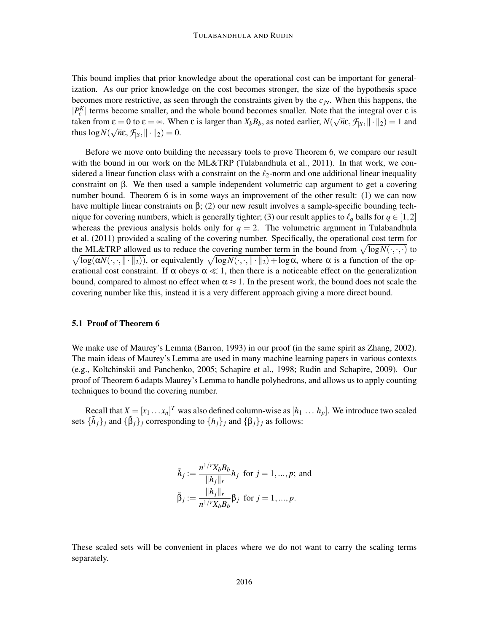This bound implies that prior knowledge about the operational cost can be important for generalization. As our prior knowledge on the cost becomes stronger, the size of the hypothesis space becomes more restrictive, as seen through the constraints given by the *cj*ν. When this happens, the  $|P_c^K|$  terms become smaller, and the whole bound becomes smaller. Note that the integral over  $\varepsilon$  is taken from  $\varepsilon = 0$  to  $\varepsilon = \infty$ . When  $\varepsilon$  is larger than  $X_b B_b$ , as noted earlier,  $N(\sqrt{n}\varepsilon, \mathcal{F}_{|S}, ||\cdot||_2) = 1$  and thus  $\log N(\sqrt{n}\epsilon, \mathcal{F}_{|S}, \|\cdot\|_2) = 0.$ 

Before we move onto building the necessary tools to prove Theorem 6, we compare our result with the bound in our work on the ML&TRP (Tulabandhula et al., 2011). In that work, we considered a linear function class with a constraint on the  $\ell_2$ -norm and one additional linear inequality constraint on β. We then used a sample independent volumetric cap argument to get a covering number bound. Theorem 6 is in some ways an improvement of the other result: (1) we can now have multiple linear constraints on  $\beta$ ; (2) our new result involves a sample-specific bounding technique for covering numbers, which is generally tighter; (3) our result applies to  $\ell_q$  balls for  $q \in [1,2]$ whereas the previous analysis holds only for  $q = 2$ . The volumetric argument in Tulabandhula et al. (2011) provided a scaling of the covering number. Specifically, the operational cost term for the ML&TRP allowed us to reduce the covering number term in the bound from  $\sqrt{\log N(\cdot,\cdot,\cdot)}$  to  $\sqrt{\log(\alpha N(\cdot,\cdot,\|\cdot\|_2))}$ , or equivalently  $\sqrt{\log N(\cdot,\cdot,\|\cdot\|_2) + \log \alpha}$ , where  $\alpha$  is a function of the operational cost constraint. If  $\alpha$  obeys  $\alpha \ll 1$ , then there is a noticeable effect on the generalization bound, compared to almost no effect when  $\alpha \approx 1$ . In the present work, the bound does not scale the covering number like this, instead it is a very different approach giving a more direct bound.

### 5.1 Proof of Theorem 6

We make use of Maurey's Lemma (Barron, 1993) in our proof (in the same spirit as Zhang, 2002). The main ideas of Maurey's Lemma are used in many machine learning papers in various contexts (e.g., Koltchinskii and Panchenko, 2005; Schapire et al., 1998; Rudin and Schapire, 2009). Our proof of Theorem 6 adapts Maurey's Lemma to handle polyhedrons, and allows us to apply counting techniques to bound the covering number.

Recall that  $X = [x_1 \dots x_n]^T$  was also defined column-wise as  $[h_1 \dots h_p]$ . We introduce two scaled sets  $\{\tilde{h}_j\}_j$  and  $\{\tilde{\beta}_j\}_j$  corresponding to  $\{h_j\}_j$  and  $\{\beta_j\}_j$  as follows:

$$
\tilde{h}_j := \frac{n^{1/r} X_b B_b}{\|h_j\|_r} h_j \text{ for } j = 1, ..., p; \text{ and}
$$

$$
\tilde{\beta}_j := \frac{\|h_j\|_r}{n^{1/r} X_b B_b} \beta_j \text{ for } j = 1, ..., p.
$$

These scaled sets will be convenient in places where we do not want to carry the scaling terms separately.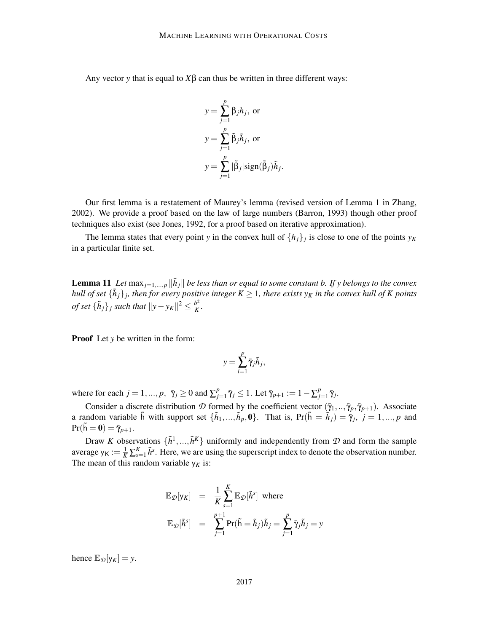Any vector *y* that is equal to  $X\beta$  can thus be written in three different ways:

$$
y = \sum_{j=1}^{p} \beta_j h_j, \text{ or}
$$
  
\n
$$
y = \sum_{j=1}^{p} \tilde{\beta}_j \tilde{h}_j, \text{ or}
$$
  
\n
$$
y = \sum_{j=1}^{p} |\tilde{\beta}_j| \text{sign}(\tilde{\beta}_j) \tilde{h}_j.
$$

Our first lemma is a restatement of Maurey's lemma (revised version of Lemma 1 in Zhang, 2002). We provide a proof based on the law of large numbers (Barron, 1993) though other proof techniques also exist (see Jones, 1992, for a proof based on iterative approximation).

The lemma states that every point *y* in the convex hull of  $\{h_j\}_j$  is close to one of the points  $y_K$ in a particular finite set.

**Lemma 11** Let  $\max_{j=1,\dots,p} \|\tilde{h}_j\|$  be less than or equal to some constant b. If y belongs to the convex *hull of set*  $\{\tilde{h}_j\}_j$ , then for every positive integer  $K \geq 1$ , there exists  $y_K$  in the convex hull of K points *of set*  $\{\tilde{h}_j\}_j$  *such that*  $||y - y_K||^2 \leq \frac{b^2}{K}$  $\frac{b^2}{K}$ .

**Proof** Let *y* be written in the form:

$$
y = \sum_{i=1}^p \bar{\gamma}_j \tilde{h}_j,
$$

where for each  $j = 1, ..., p, \bar{\gamma}_j \ge 0$  and  $\sum_{j=1}^{p}$  $\bar{q}_{j=1}^p \bar{\gamma}_j \leq 1$ . Let  $\bar{\gamma}_{p+1} := 1 - \sum_{j=1}^p \bar{\gamma}_j$  $_{j=1}^{p}$   $\bar{\gamma}_{j}$ .

Consider a discrete distribution *D* formed by the coefficient vector  $(\bar{\gamma}_1, ..., \bar{\gamma}_p, \bar{\gamma}_{p+1})$ . Associate a random variable  $\tilde{h}$  with support set  $\{\tilde{h}_1, ..., \tilde{h}_p, \mathbf{0}\}\$ . That is,  $Pr(\tilde{h} = \tilde{h}_j) = \tilde{\gamma}_j$ ,  $j = 1, ..., p$  and  $Pr(h = 0) = \overline{\gamma}_{p+1}.$ 

Draw *K* observations  $\{\tilde{h}^1, ..., \tilde{h}^K\}$  uniformly and independently from  $\mathcal D$  and form the sample average  $y_K := \frac{1}{K} \sum_{s=1}^K \tilde{h}^s$ . Here, we are using the superscript index to denote the observation number. The mean of this random variable  $y_K$  is:

$$
\mathbb{E}_{\mathcal{D}}[\mathsf{y}_K] = \frac{1}{K} \sum_{s=1}^K \mathbb{E}_{\mathcal{D}}[\tilde{h}^s] \text{ where}
$$
  

$$
\mathbb{E}_{\mathcal{D}}[\tilde{h}^s] = \sum_{j=1}^{p+1} \Pr(\tilde{\mathsf{h}} = \tilde{h}_j) \tilde{h}_j = \sum_{j=1}^p \bar{\gamma}_j \tilde{h}_j = \mathsf{y}
$$

hence  $\mathbb{E}_{\mathcal{D}}[y_K] = y$ .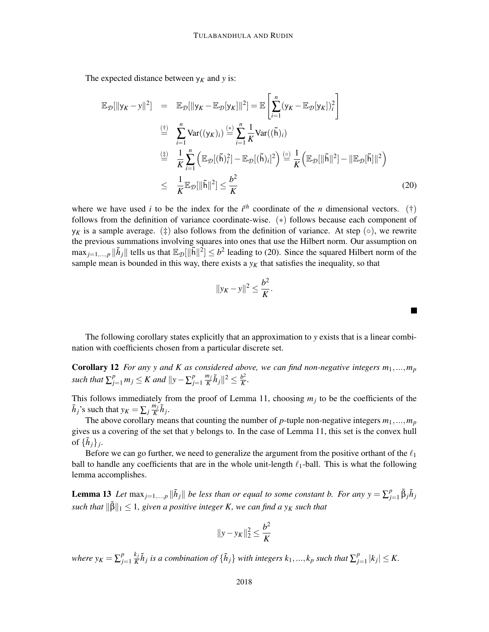The expected distance between  $y_K$  and  $y$  is:

$$
\mathbb{E}_{\mathcal{D}}[\|\mathbf{y}_{K}-\mathbf{y}\|^{2}] = \mathbb{E}_{\mathcal{D}}[\|\mathbf{y}_{K}-\mathbb{E}_{\mathcal{D}}[\mathbf{y}_{K}]\|^{2}] = \mathbb{E}\left[\sum_{i=1}^{n}(\mathbf{y}_{K}-\mathbb{E}_{\mathcal{D}}[\mathbf{y}_{K}])_{i}^{2}\right]
$$
\n
$$
\stackrel{\text{(i)}}{=} \sum_{i=1}^{n} \text{Var}((\mathbf{y}_{K})_{i}) \stackrel{\text{(s)}}{=} \sum_{i=1}^{n} \frac{1}{K} \text{Var}((\tilde{\mathsf{h}})_{i})
$$
\n
$$
\stackrel{\text{(i)}}{=} \frac{1}{K} \sum_{i=1}^{n} \left(\mathbb{E}_{\mathcal{D}}[(\tilde{\mathsf{h}})_{i}^{2}] - \mathbb{E}_{\mathcal{D}}[(\tilde{\mathsf{h}})_{i}]^{2}\right) \stackrel{\text{(c)}}{=} \frac{1}{K} \left(\mathbb{E}_{\mathcal{D}}[\|\tilde{\mathsf{h}}\|^{2}] - \|\mathbb{E}_{\mathcal{D}}[\tilde{\mathsf{h}}]\|^{2}\right)
$$
\n
$$
\leq \frac{1}{K} \mathbb{E}_{\mathcal{D}}[\|\tilde{\mathsf{h}}\|^{2}] \leq \frac{b^{2}}{K}
$$
\n(20)

where we have used *i* to be the index for the  $i^{th}$  coordinate of the *n* dimensional vectors. (†) follows from the definition of variance coordinate-wise. (\*) follows because each component of  $y<sub>K</sub>$  is a sample average. (‡) also follows from the definition of variance. At step ( $\circ$ ), we rewrite the previous summations involving squares into ones that use the Hilbert norm. Our assumption on  $\max_{j=1,\dots,p} \|\tilde{h}_j\|$  tells us that  $\mathbb{E}_{\mathcal{D}}[\|\tilde{h}\|^2] \leq b^2$  leading to (20). Since the squared Hilbert norm of the sample mean is bounded in this way, there exists a  $y<sub>K</sub>$  that satisfies the inequality, so that

$$
||y_K - y||^2 \leq \frac{b^2}{K}.
$$

П

The following corollary states explicitly that an approximation to *y* exists that is a linear combination with coefficients chosen from a particular discrete set.

**Corollary 12** *For any y and K as considered above, we can find non-negative integers*  $m_1, ..., m_p$ *such that*  $\sum_{j=1}^{p} m_j \leq K$  *and*  $||y - \sum_{j=1}^{p} m_j||$ *j*=1 *mj*  $\frac{n_j}{K} \tilde{h}_j \|^2 \leq \frac{b^2}{K}$  $\frac{b^2}{K}$ .

This follows immediately from the proof of Lemma 11, choosing  $m_j$  to be the coefficients of the  $\tilde{h}_j$ 's such that  $y_K = \sum_j \frac{m_j}{K}$  $\frac{n_j}{K}$  $\tilde{h}_j$ .

The above corollary means that counting the number of  $p$ -tuple non-negative integers  $m_1, ..., m_p$ gives us a covering of the set that *y* belongs to. In the case of Lemma 11, this set is the convex hull of  $\{\tilde{h}_j\}_j$ .

Before we can go further, we need to generalize the argument from the positive orthant of the  $\ell_1$ ball to handle any coefficients that are in the whole unit-length  $\ell_1$ -ball. This is what the following lemma accomplishes.

**Lemma 13** Let  $\max_{j=1,\dots,p} ||\tilde{h}_j||$  be less than or equal to some constant b. For any  $y = \sum_{j=1}^{p}$  $\sum_{j=1}^p \tilde{\beta}_j \tilde{h}_j$  $\sup \|\widetilde{\beta}\|_1 \leq 1$ , given a positive integer K, we can find a  $y_K$  such that

$$
||y - y_K||_2^2 \le \frac{b^2}{K}
$$

*where*  $y_K = \sum_{i=1}^p y_i^p$ *j*=1 *k j*  $\frac{k_j}{K} \tilde{h}_j$  is a combination of  $\{\tilde{h}_j\}$  with integers  $k_1,...,k_p$  such that  $\sum_{j=1}^p k_j$  $|l'_{j=1}|k_{j}| \leq K.$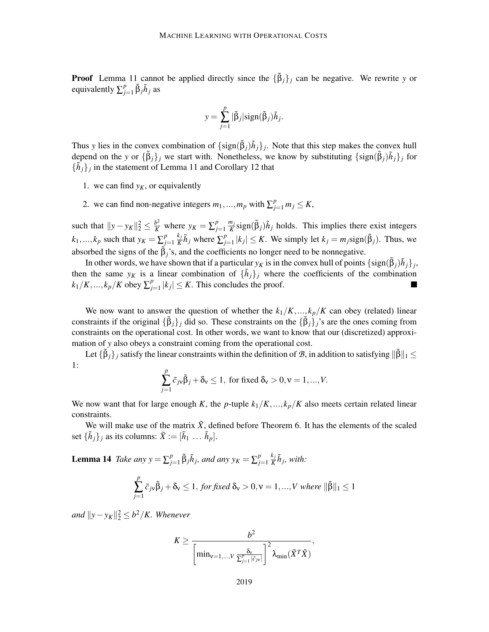**Proof** Lemma 11 cannot be applied directly since the  ${\{\tilde{\beta}_j\}}_j$  can be negative. We rewrite *y* or equivalently  $\sum_{i=1}^{p}$  $\sum_{j=1}^p \tilde{\beta}_j \tilde{h}_j$  as

$$
y = \sum_{j=1}^{p} |\tilde{\beta}_j| sign(\tilde{\beta}_j) \tilde{h}_j.
$$

Thus *y* lies in the convex combination of  $\{\text{sign}(\tilde{\beta}_j)\tilde{h}_j\}$ . Note that this step makes the convex hull depend on the *y* or  $\{\tilde{\beta}_j\}_j$  we start with. Nonetheless, we know by substituting  $\{\text{sign}(\tilde{\beta}_j)\tilde{h}_j\}_j$  for  ${\lbrace \tilde{h}_j \rbrace}_j$  in the statement of Lemma 11 and Corollary 12 that

- 1. we can find  $y<sub>K</sub>$ , or equivalently
- 2. we can find non-negative integers  $m_1, ..., m_p$  with  $\sum_{j=1}^p m_j \le K$ ,

such that  $||y - y_K||_2^2 \le \frac{b^2}{K}$  where  $y_K = \sum_{j=1}^p y_j$ *j*=1 *mj*  $\frac{n_j}{K}$ sign( $\tilde{\beta}_j$ ) $\tilde{h}_j$  holds. This implies there exist integers  $k_1, ..., k_p$  such that  $y_K = \sum_{i=1}^{p}$ *j*=1 *k j*  $\frac{k_j}{K} \tilde{h}_j$  where  $\sum_{j=1}^p$  $\int_{j=1}^{p} |k_j| \leq K$ . We simply let  $k_j = m_j \text{sign}(\tilde{\beta}_j)$ . Thus, we absorbed the signs of the  $\tilde{\beta}_i$ 's, and the coefficients no longer need to be nonnegative.

In other words, we have shown that if a particular  $y_K$  is in the convex hull of points  $\{\text{sign}(\tilde{\beta}_j)\tilde{h}_j\}_j$ , then the same  $y_K$  is a linear combination of  $\{\tilde{h}_j\}_j$  where the coefficients of the combination  $k_1/K, ..., k_p/K$  obey  $\sum_{i=1}^{p}$  $|l_{j=1}^{p} | k_j | \leq K$ . This concludes the proof.

We now want to answer the question of whether the  $k_1/K, \ldots, k_p/K$  can obey (related) linear constraints if the original  $\{\tilde{\beta}_j\}_j$  did so. These constraints on the  $\{\tilde{\beta}_j\}_j$ 's are the ones coming from constraints on the operational cost. In other words, we want to know that our (discretized) approximation of *y* also obeys a constraint coming from the operational cost.

Let  $\{\tilde{\beta}_j\}_j$  satisfy the linear constraints within the definition of  $\mathcal{B}$ , in addition to satisfying  $\|\tilde{\beta}\|_1 \leq$ 1:

$$
\sum_{j=1}^{p} \tilde{c}_{j\mathbf{v}} \tilde{\beta}_j + \delta_{\mathbf{v}} \le 1, \text{ for fixed } \delta_{\mathbf{v}} > 0, \mathbf{v} = 1, ..., V.
$$

We now want that for large enough *K*, the *p*-tuple  $k_1/K, ..., k_p/K$  also meets certain related linear constraints.

We will make use of the matrix  $\tilde{X}$ , defined before Theorem 6. It has the elements of the scaled set  $\{\tilde{h}_j\}_j$  as its columns:  $\tilde{X} := [\tilde{h}_1 \dots \tilde{h}_p].$ 

**Lemma 14** *Take any*  $y = \sum_{i=1}^{p}$  $\sum_{j=1}^{p} \tilde{\beta}_j \tilde{h}_j$ , and any  $y_K = \sum_{j=1}^{p}$ *j*=1 *k j*  $\frac{k_j}{K}$  $\tilde{h}_j$ , with:

$$
\sum_{j=1}^{p} \tilde{c}_{j\mathbf{v}} \tilde{\beta}_{j} + \delta_{\mathbf{v}} \le 1, \text{ for fixed } \delta_{\mathbf{v}} > 0, \mathbf{v} = 1, ..., V \text{ where } ||\tilde{\beta}||_{1} \le 1
$$

*and*  $||y - y_K||_2^2$  ≤ *b*<sup>2</sup>/*K. Whenever* 

$$
K \ge \frac{b^2}{\left[\min_{\mathbf{v}=1,\dots,V}\frac{\delta_{\mathbf{v}}}{\sum_{j=1}^p|\tilde{c}_{j\mathbf{v}}|}\right]^2 \lambda_{\min}(\tilde{X}^T\tilde{X})},
$$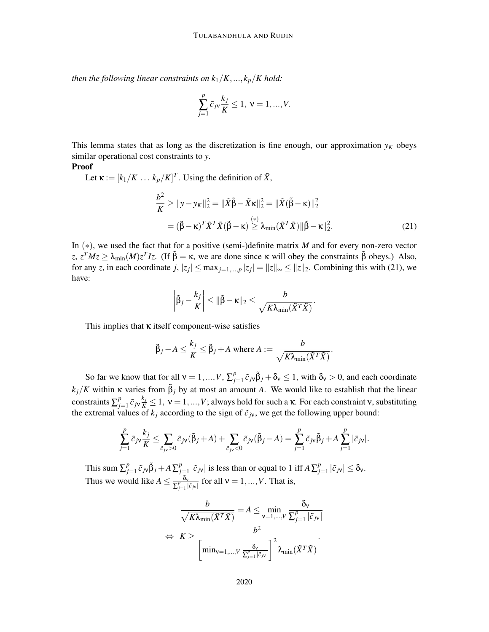*then the following linear constraints on*  $k_1/K, ..., k_p/K$  *hold:* 

$$
\sum_{j=1}^{p} \tilde{c}_{j\nu} \frac{k_j}{K} \le 1, \ v = 1, ..., V.
$$

This lemma states that as long as the discretization is fine enough, our approximation  $y_K$  obeys similar operational cost constraints to *y*.

### Proof

Let  $\kappa := [k_1/K \dots k_p/K]^T$ . Using the definition of  $\tilde{X}$ ,

$$
\frac{b^2}{K} \ge ||y - y_K||_2^2 = ||\tilde{X}\tilde{\beta} - \tilde{X}\kappa||_2^2 = ||\tilde{X}(\tilde{\beta} - \kappa)||_2^2
$$

$$
= (\tilde{\beta} - \kappa)^T \tilde{X}^T \tilde{X} (\tilde{\beta} - \kappa) \stackrel{(*)}{\geq} \lambda_{\min} (\tilde{X}^T \tilde{X}) ||\tilde{\beta} - \kappa||_2^2.
$$
 (21)

In (∗), we used the fact that for a positive (semi-)definite matrix *M* and for every non-zero vector  $z, z^T M z \ge \lambda_{\min}(M) z^T I z$ . (If  $\tilde{\beta} = \kappa$ , we are done since κ will obey the constraints  $\tilde{\beta}$  obeys.) Also, for any *z*, in each coordinate  $j, |z_j| \le \max_{j=1,\dots,p} |z_j| = ||z||_{\infty} \le ||z||_2$ . Combining this with (21), we have:

$$
\left|\tilde{\beta}_j - \frac{k_j}{K}\right| \leq \|\tilde{\beta} - \kappa\|_2 \leq \frac{b}{\sqrt{K\lambda_{\min}(\tilde{X}^T\tilde{X})}}.
$$

This implies that  $\kappa$  itself component-wise satisfies

$$
\tilde{\beta}_j - A \leq \frac{k_j}{K} \leq \tilde{\beta}_j + A \text{ where } A := \frac{b}{\sqrt{K\lambda_{\min}(\tilde{X}^T\tilde{X})}}.
$$

So far we know that for all  $v = 1, ..., V, \sum_{i=1}^{p}$  $\int_{j=1}^{p} \tilde{c}_{j} \tilde{\beta}_{j} + \delta_{v} \le 1$ , with  $\delta_{v} > 0$ , and each coordinate  $k_j/K$  within  $\kappa$  varies from  $\tilde{\beta}_j$  by at most an amount *A*. We would like to establish that the linear constraints  $\sum_{i=1}^{p}$ *p*<sub>j=1</sub>  $\tilde{c}_{j}$ ν  $\frac{k_j}{K}$   $\leq$  1,  $v$  = 1,...,*V*; always hold for such a κ. For each constraint ν, substituting the extremal values of  $k_j$  according to the sign of  $\tilde{c}_{jv}$ , we get the following upper bound:

$$
\sum_{j=1}^p \tilde{c}_{j\mathbf{v}} \frac{k_j}{K} \leq \sum_{\tilde{c}_{j\mathbf{v}} > 0} \tilde{c}_{j\mathbf{v}}(\tilde{\beta}_j + A) + \sum_{\tilde{c}_{j\mathbf{v}} < 0} \tilde{c}_{j\mathbf{v}}(\tilde{\beta}_j - A) = \sum_{j=1}^p \tilde{c}_{j\mathbf{v}}\tilde{\beta}_j + A \sum_{j=1}^p |\tilde{c}_{j\mathbf{v}}|.
$$

This sum  $\sum_{i=1}^{p}$  $\sum_{j=1}^p \tilde{c}_{j\vee} \tilde{\beta}_j + A \sum_{j=1}^p$  $\int_{j=1}^{p} |\tilde{c}_{j\nu}|$  is less than or equal to 1 iff  $A \sum_{j=1}^{p}$  $|_{j=1}^p |\tilde{c}_{j\mathsf{v}}| \leq \delta_{\mathsf{v}}.$ Thus we would like  $A \leq \frac{\delta_v}{\sum_{i=1}^p |S_i|}$  $\frac{\delta_v}{\sum_{j=1}^p |\tilde{c}_{j\nu}|}$  for all  $v = 1, ..., V$ . That is,

$$
\frac{b}{\sqrt{K\lambda_{\min}(\tilde{X}^T\tilde{X})}} = A \leq \min_{\mathsf{v}=1,\dots,V} \frac{\delta_{\mathsf{v}}}{\sum_{j=1}^p |\tilde{c}_{j\mathsf{v}}|}
$$

$$
\Leftrightarrow K \geq \frac{b^2}{\left[\min_{\mathsf{v}=1,\dots,V} \frac{\delta_{\mathsf{v}}}{\sum_{j=1}^p |\tilde{c}_{j\mathsf{v}}|}\right]^2 \lambda_{\min}(\tilde{X}^T\tilde{X})}.
$$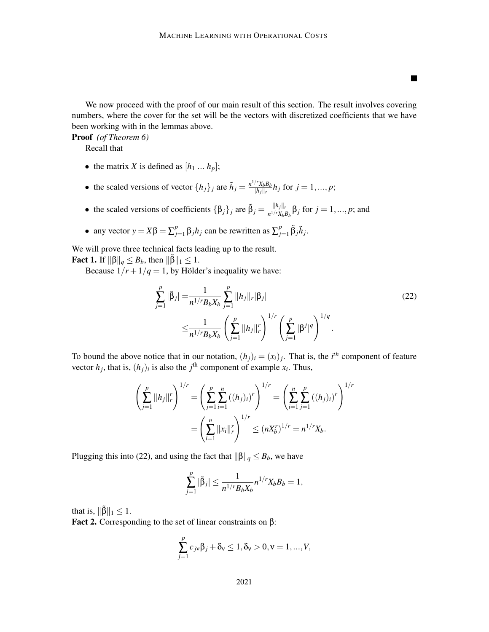We now proceed with the proof of our main result of this section. The result involves covering numbers, where the cover for the set will be the vectors with discretized coefficients that we have been working with in the lemmas above.

Proof *(of Theorem 6)*

Recall that

- the matrix *X* is defined as  $[h_1 \dots h_p];$
- the scaled versions of vector  $\{h_j\}_j$  are  $\tilde{h}_j = \frac{n^{1/r} X_b B_b}{\|h_j\|_r}$  $\frac{f(x, k_b B_b)}{\|h_j\|_r} h_j$  for  $j = 1, ..., p;$
- the scaled versions of coefficients  $\{\beta_j\}_j$  are  $\tilde{\beta}_j = \frac{||h_j||_r}{n^{1/r}X_bB_b}\beta_j$  for  $j = 1, ..., p$ ; and
- any vector  $y = X\beta = \sum_{j=1}^{p}$  $\sum_{j=1}^{p} \beta_j h_j$  can be rewritten as  $\sum_{j=1}^{p}$  $\sum_{j=1}^p \tilde{\beta}_j \tilde{h}_j$ .

We will prove three technical facts leading up to the result. **Fact 1.** If  $\|\beta\|_q \leq B_b$ , then  $\|\tilde{\beta}\|_1 \leq 1$ .

Because  $1/r + 1/q = 1$ , by Hölder's inequality we have:

$$
\sum_{j=1}^{p} |\tilde{\beta}_j| = \frac{1}{n^{1/r} B_b X_b} \sum_{j=1}^{p} ||h_j||_r |\beta_j|
$$
\n
$$
\leq \frac{1}{n^{1/r} B_b X_b} \left( \sum_{j=1}^{p} ||h_j||_r^r \right)^{1/r} \left( \sum_{j=1}^{p} |\beta^j|^q \right)^{1/q}.
$$
\n(22)

 $\blacksquare$ 

To bound the above notice that in our notation,  $(h_j)_i = (x_i)_j$ . That is, the *i*<sup>th</sup> component of feature vector  $h_j$ , that is,  $(h_j)_i$  is also the  $j^{\text{th}}$  component of example  $x_i$ . Thus,

$$
\left(\sum_{j=1}^p ||h_j||_r^r\right)^{1/r} = \left(\sum_{j=1}^p \sum_{i=1}^n ((h_j)_i)^r\right)^{1/r} = \left(\sum_{i=1}^n \sum_{j=1}^p ((h_j)_i)^r\right)^{1/r}
$$

$$
= \left(\sum_{i=1}^n ||x_i||_r^r\right)^{1/r} \le (nX_b^r)^{1/r} = n^{1/r}X_b.
$$

Plugging this into (22), and using the fact that  $\|\beta\|_q \leq B_b$ , we have

$$
\sum_{j=1}^p |\tilde{\beta}_j| \le \frac{1}{n^{1/r} B_b X_b} n^{1/r} X_b B_b = 1,
$$

that is,  $\|\tilde{\beta}\|_1 \leq 1$ .

Fact 2. Corresponding to the set of linear constraints on β:

$$
\sum_{j=1}^{p} c_{jv} \beta_j + \delta_v \le 1, \delta_v > 0, v = 1, ..., V,
$$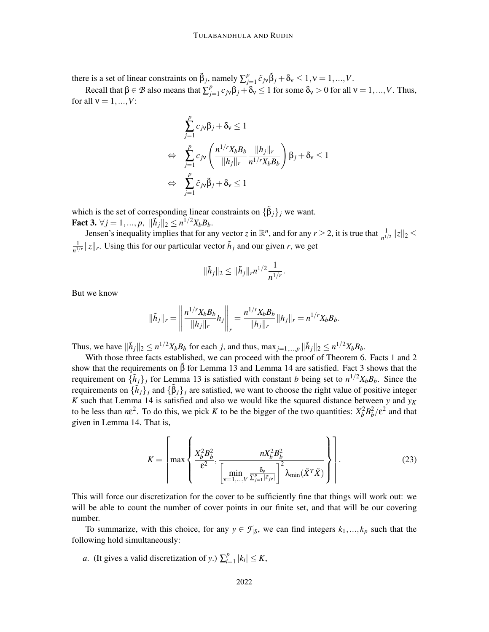there is a set of linear constraints on  $\tilde{\beta}_j$ , namely  $\sum_{i=1}^{p}$  $\sum_{j=1}^{p} \tilde{c}_{j\mathsf{v}} \tilde{\beta}_j + \delta_{\mathsf{v}} \leq 1, \mathsf{v} = 1, ..., V.$ 

Recall that  $\beta \in \mathcal{B}$  also means that  $\sum_{j}^{p}$  $\partial_{y=1}^p c_j \sqrt{\beta_j} + \delta$ ν ≤ 1 for some  $\delta$ ν > 0 for all ν = 1, ..., *V*. Thus, for all  $v = 1, ..., V$ :

$$
\sum_{j=1}^{p} c_{j\mathbf{v}} \beta_j + \delta_{\mathbf{v}} \le 1
$$
\n
$$
\Leftrightarrow \sum_{j=1}^{p} c_{j\mathbf{v}} \left( \frac{n^{1/r} X_b B_b}{\|h_j\|_r} \frac{\|h_j\|_r}{n^{1/r} X_b B_b} \right) \beta_j + \delta_{\mathbf{v}} \le 1
$$
\n
$$
\Leftrightarrow \sum_{j=1}^{p} \tilde{c}_{j\mathbf{v}} \tilde{\beta}_j + \delta_{\mathbf{v}} \le 1
$$

which is the set of corresponding linear constraints on  $\{\tilde{\beta}_j\}_j$  we want. **Fact 3.**  $\forall j = 1, ..., p, \|\tilde{h}_j\|_2 \leq n^{1/2}X_bB_b.$ 

Jensen's inequality implies that for any vector *z* in  $\mathbb{R}^n$ , and for any  $r \ge 2$ , it is true that  $\frac{1}{n^{1/2}} ||z||_2 \le$ 1  $\frac{1}{n^{1/r}} ||z||_r$ . Using this for our particular vector  $\tilde{h}_j$  and our given *r*, we get

$$
\|\tilde{h}_j\|_2 \le \|\tilde{h}_j\|_r n^{1/2} \frac{1}{n^{1/r}}
$$

But we know

$$
\|\tilde{h}_j\|_r = \left\|\frac{n^{1/r}X_bB_b}{\|h_j\|_r}h_j\right\|_r = \frac{n^{1/r}X_bB_b}{\|h_j\|_r}\|h_j\|_r = n^{1/r}X_bB_b.
$$

Thus, we have  $\|\tilde{h}_j\|_2 \le n^{1/2}X_bB_b$  for each *j*, and thus,  $\max_{j=1,\dots,p} \|\tilde{h}_j\|_2 \le n^{1/2}X_bB_b$ .

With those three facts established, we can proceed with the proof of Theorem 6. Facts 1 and 2 show that the requirements on  $\tilde{\beta}$  for Lemma 13 and Lemma 14 are satisfied. Fact 3 shows that the requirement on  $\{\tilde{h}_j\}_j$  for Lemma 13 is satisfied with constant *b* being set to  $n^{1/2}X_bB_b$ . Since the requirements on  $\{\tilde{h}_j\}$  and  $\{\tilde{\beta}_j\}$  are satisfied, we want to choose the right value of positive integer *K* such that Lemma 14 is satisfied and also we would like the squared distance between *y* and  $y<sub>K</sub>$ to be less than  $n\epsilon^2$ . To do this, we pick *K* to be the bigger of the two quantities:  $X_b^2 B_b^2 / \epsilon^2$  and that given in Lemma 14. That is,

$$
K = \left[ \max \left\{ \frac{X_b^2 B_b^2}{\epsilon^2}, \frac{n X_b^2 B_b^2}{\left[\min_{\mathbf{v}=1,\dots,V} \frac{\delta_{\mathbf{v}}}{\Sigma_{j=1}^p |\tilde{c}_{j\mathbf{v}}|}\right]^2 \lambda_{\min}(\tilde{X}^T \tilde{X})} \right\} \right].
$$
 (23)

.

This will force our discretization for the cover to be sufficiently fine that things will work out: we will be able to count the number of cover points in our finite set, and that will be our covering number.

To summarize, with this choice, for any  $y \in \mathcal{F}_{|S}$ , we can find integers  $k_1, ..., k_p$  such that the following hold simultaneously:

*a*. (It gives a valid discretization of *y*.)  $\sum_{i=1}^{p}$  $|l_{i=1}^{p} |k_i| \leq K$ ,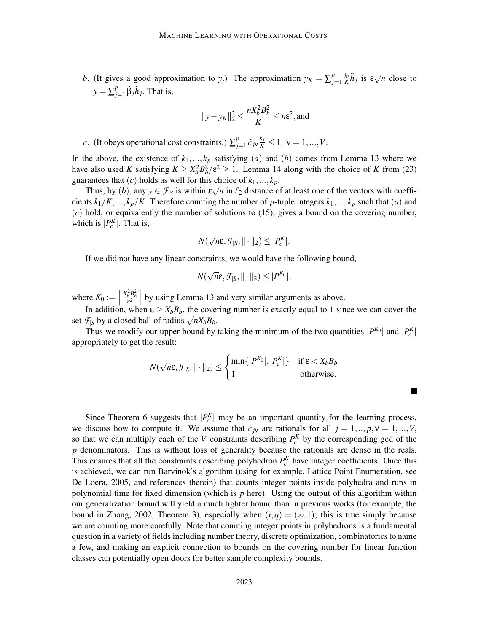*b*. (It gives a good approximation to *y*.) The approximation  $y_K = \sum_{i=1}^{p} y_i^2$  $\int_{j=1}^{p} \frac{k_i}{K} \tilde{h}_j$  is  $\epsilon \sqrt{n}$  close to  $y = \sum_{i=1}^{p}$  $j_{j=1}^p \tilde{\beta}_j \tilde{h}_j$ . That is,

$$
||y - y_K||_2^2 \le \frac{nX_b^2 B_b^2}{K} \le n\varepsilon^2, \text{and}
$$

*c*. (It obeys operational cost constraints.)  $\sum_{i=1}^{p}$  $\sum_{j=1}^{p} \tilde{c}_{j\mathbf{v}} \frac{k_j}{K} \leq 1, \mathbf{v} = 1, ..., V.$ 

In the above, the existence of  $k_1, ..., k_p$  satisfying (*a*) and (*b*) comes from Lemma 13 where we have also used *K* satisfying  $K \ge X_b^2 B_b^2 / \varepsilon^2 \ge 1$ . Lemma 14 along with the choice of *K* from (23) guarantees that  $(c)$  holds as well for this choice of  $k_1, ..., k_p$ .

Thus, by (*b*), any  $y \in \mathcal{F}_{|S}$  is within  $\varepsilon \sqrt{n}$  in  $\ell_2$  distance of at least one of the vectors with coefficients  $k_1/K, \ldots, k_p/K$ . Therefore counting the number of p-tuple integers  $k_1, \ldots, k_p$  such that (*a*) and (*c*) hold, or equivalently the number of solutions to (15), gives a bound on the covering number, which is  $|P_c^K|$ . That is,

$$
N(\sqrt{n}\varepsilon, \mathcal{F}_{|S}, \|\cdot\|_2) \leq |P_c^K|.
$$

If we did not have any linear constraints, we would have the following bound,

$$
N(\sqrt{n}\varepsilon, \mathcal{F}_{|S}, \|\cdot\|_2) \leq |P^{K_0}|,
$$

where  $K_0 := \left[\frac{X_b^2 B_b^2}{\epsilon^2}\right]$  by using Lemma 13 and very similar arguments as above.

In addition, when  $\varepsilon \ge X_b B_b$ , the covering number is exactly equal to 1 since we can cover the set  $\mathcal{F}_{|S}$  by a closed ball of radius  $\sqrt{n}X_bB_b$ .

Thus we modify our upper bound by taking the minimum of the two quantities  $|P^{K_0}|$  and  $|P^K_c|$ appropriately to get the result:

$$
N(\sqrt{n}\varepsilon, \mathcal{F}_{|S}, \|\cdot\|_2) \leq \begin{cases} \min\{|P^{K_0}|, |P^K_c|\} & \text{if } \varepsilon < X_b B_b \\ 1 & \text{otherwise.} \end{cases}
$$

Since Theorem 6 suggests that  $|P_c^K|$  may be an important quantity for the learning process, we discuss how to compute it. We assume that  $\tilde{c}_{j_v}$  are rationals for all  $j = 1, ..., p, v = 1, ..., V$ , so that we can multiply each of the *V* constraints describing  $P_c^K$  by the corresponding gcd of the *p* denominators. This is without loss of generality because the rationals are dense in the reals. This ensures that all the constraints describing polyhedron  $P_c^K$  have integer coefficients. Once this is achieved, we can run Barvinok's algorithm (using for example, Lattice Point Enumeration, see De Loera, 2005, and references therein) that counts integer points inside polyhedra and runs in polynomial time for fixed dimension (which is *p* here). Using the output of this algorithm within our generalization bound will yield a much tighter bound than in previous works (for example, the bound in Zhang, 2002, Theorem 3), especially when  $(r, q) = (\infty, 1)$ ; this is true simply because we are counting more carefully. Note that counting integer points in polyhedrons is a fundamental question in a variety of fields including number theory, discrete optimization, combinatorics to name a few, and making an explicit connection to bounds on the covering number for linear function classes can potentially open doors for better sample complexity bounds.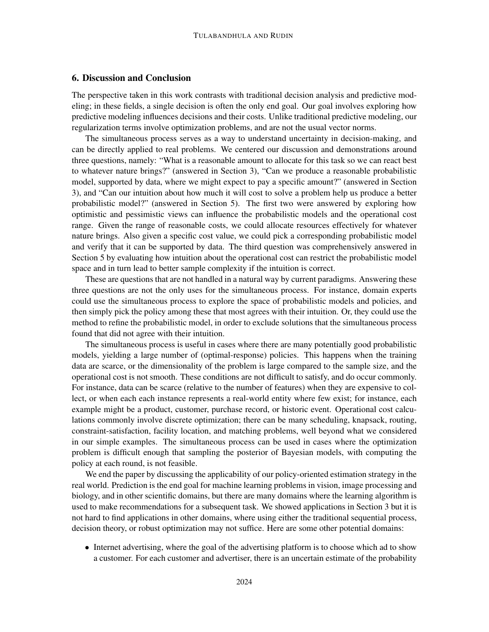### 6. Discussion and Conclusion

The perspective taken in this work contrasts with traditional decision analysis and predictive modeling; in these fields, a single decision is often the only end goal. Our goal involves exploring how predictive modeling influences decisions and their costs. Unlike traditional predictive modeling, our regularization terms involve optimization problems, and are not the usual vector norms.

The simultaneous process serves as a way to understand uncertainty in decision-making, and can be directly applied to real problems. We centered our discussion and demonstrations around three questions, namely: "What is a reasonable amount to allocate for this task so we can react best to whatever nature brings?" (answered in Section 3), "Can we produce a reasonable probabilistic model, supported by data, where we might expect to pay a specific amount?" (answered in Section 3), and "Can our intuition about how much it will cost to solve a problem help us produce a better probabilistic model?" (answered in Section 5). The first two were answered by exploring how optimistic and pessimistic views can influence the probabilistic models and the operational cost range. Given the range of reasonable costs, we could allocate resources effectively for whatever nature brings. Also given a specific cost value, we could pick a corresponding probabilistic model and verify that it can be supported by data. The third question was comprehensively answered in Section 5 by evaluating how intuition about the operational cost can restrict the probabilistic model space and in turn lead to better sample complexity if the intuition is correct.

These are questions that are not handled in a natural way by current paradigms. Answering these three questions are not the only uses for the simultaneous process. For instance, domain experts could use the simultaneous process to explore the space of probabilistic models and policies, and then simply pick the policy among these that most agrees with their intuition. Or, they could use the method to refine the probabilistic model, in order to exclude solutions that the simultaneous process found that did not agree with their intuition.

The simultaneous process is useful in cases where there are many potentially good probabilistic models, yielding a large number of (optimal-response) policies. This happens when the training data are scarce, or the dimensionality of the problem is large compared to the sample size, and the operational cost is not smooth. These conditions are not difficult to satisfy, and do occur commonly. For instance, data can be scarce (relative to the number of features) when they are expensive to collect, or when each each instance represents a real-world entity where few exist; for instance, each example might be a product, customer, purchase record, or historic event. Operational cost calculations commonly involve discrete optimization; there can be many scheduling, knapsack, routing, constraint-satisfaction, facility location, and matching problems, well beyond what we considered in our simple examples. The simultaneous process can be used in cases where the optimization problem is difficult enough that sampling the posterior of Bayesian models, with computing the policy at each round, is not feasible.

We end the paper by discussing the applicability of our policy-oriented estimation strategy in the real world. Prediction is the end goal for machine learning problems in vision, image processing and biology, and in other scientific domains, but there are many domains where the learning algorithm is used to make recommendations for a subsequent task. We showed applications in Section 3 but it is not hard to find applications in other domains, where using either the traditional sequential process, decision theory, or robust optimization may not suffice. Here are some other potential domains:

• Internet advertising, where the goal of the advertising platform is to choose which ad to show a customer. For each customer and advertiser, there is an uncertain estimate of the probability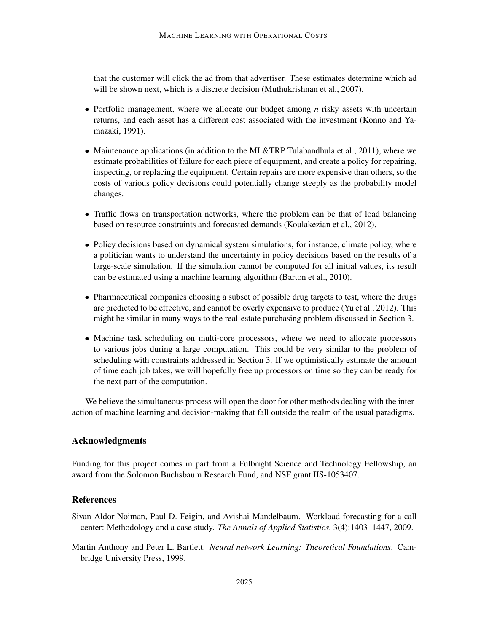that the customer will click the ad from that advertiser. These estimates determine which ad will be shown next, which is a discrete decision (Muthukrishnan et al., 2007).

- Portfolio management, where we allocate our budget among *n* risky assets with uncertain returns, and each asset has a different cost associated with the investment (Konno and Yamazaki, 1991).
- Maintenance applications (in addition to the ML&TRP Tulabandhula et al., 2011), where we estimate probabilities of failure for each piece of equipment, and create a policy for repairing, inspecting, or replacing the equipment. Certain repairs are more expensive than others, so the costs of various policy decisions could potentially change steeply as the probability model changes.
- Traffic flows on transportation networks, where the problem can be that of load balancing based on resource constraints and forecasted demands (Koulakezian et al., 2012).
- Policy decisions based on dynamical system simulations, for instance, climate policy, where a politician wants to understand the uncertainty in policy decisions based on the results of a large-scale simulation. If the simulation cannot be computed for all initial values, its result can be estimated using a machine learning algorithm (Barton et al., 2010).
- Pharmaceutical companies choosing a subset of possible drug targets to test, where the drugs are predicted to be effective, and cannot be overly expensive to produce (Yu et al., 2012). This might be similar in many ways to the real-estate purchasing problem discussed in Section 3.
- Machine task scheduling on multi-core processors, where we need to allocate processors to various jobs during a large computation. This could be very similar to the problem of scheduling with constraints addressed in Section 3. If we optimistically estimate the amount of time each job takes, we will hopefully free up processors on time so they can be ready for the next part of the computation.

We believe the simultaneous process will open the door for other methods dealing with the interaction of machine learning and decision-making that fall outside the realm of the usual paradigms.

### Acknowledgments

Funding for this project comes in part from a Fulbright Science and Technology Fellowship, an award from the Solomon Buchsbaum Research Fund, and NSF grant IIS-1053407.

# **References**

- Sivan Aldor-Noiman, Paul D. Feigin, and Avishai Mandelbaum. Workload forecasting for a call center: Methodology and a case study. *The Annals of Applied Statistics*, 3(4):1403–1447, 2009.
- Martin Anthony and Peter L. Bartlett. *Neural network Learning: Theoretical Foundations*. Cambridge University Press, 1999.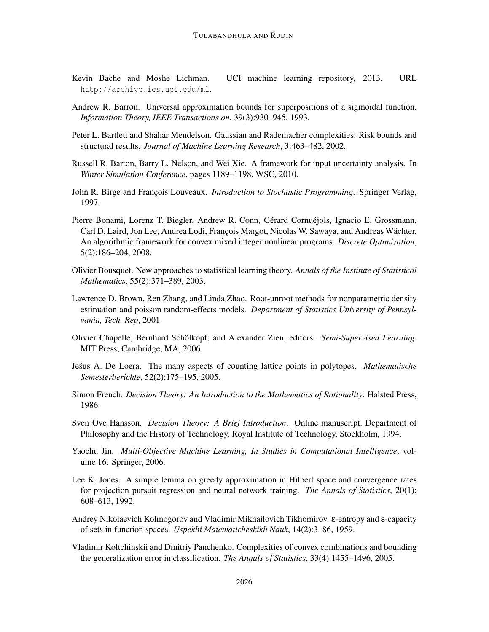- Kevin Bache and Moshe Lichman. UCI machine learning repository, 2013. URL http://archive.ics.uci.edu/ml.
- Andrew R. Barron. Universal approximation bounds for superpositions of a sigmoidal function. *Information Theory, IEEE Transactions on*, 39(3):930–945, 1993.
- Peter L. Bartlett and Shahar Mendelson. Gaussian and Rademacher complexities: Risk bounds and structural results. *Journal of Machine Learning Research*, 3:463–482, 2002.
- Russell R. Barton, Barry L. Nelson, and Wei Xie. A framework for input uncertainty analysis. In *Winter Simulation Conference*, pages 1189–1198. WSC, 2010.
- John R. Birge and François Louveaux. *Introduction to Stochastic Programming*. Springer Verlag, 1997.
- Pierre Bonami, Lorenz T. Biegler, Andrew R. Conn, Gérard Cornuéjols, Ignacio E. Grossmann, Carl D. Laird, Jon Lee, Andrea Lodi, François Margot, Nicolas W. Sawaya, and Andreas Wächter. An algorithmic framework for convex mixed integer nonlinear programs. *Discrete Optimization*, 5(2):186–204, 2008.
- Olivier Bousquet. New approaches to statistical learning theory. *Annals of the Institute of Statistical Mathematics*, 55(2):371–389, 2003.
- Lawrence D. Brown, Ren Zhang, and Linda Zhao. Root-unroot methods for nonparametric density estimation and poisson random-effects models. *Department of Statistics University of Pennsylvania, Tech. Rep*, 2001.
- Olivier Chapelle, Bernhard Scholkopf, and Alexander Zien, editors. ¨ *Semi-Supervised Learning*. MIT Press, Cambridge, MA, 2006.
- Jesus A. De Loera. The many aspects of counting lattice points in polytopes. ´ *Mathematische Semesterberichte*, 52(2):175–195, 2005.
- Simon French. *Decision Theory: An Introduction to the Mathematics of Rationality*. Halsted Press, 1986.
- Sven Ove Hansson. *Decision Theory: A Brief Introduction*. Online manuscript. Department of Philosophy and the History of Technology, Royal Institute of Technology, Stockholm, 1994.
- Yaochu Jin. *Multi-Objective Machine Learning, In Studies in Computational Intelligence*, volume 16. Springer, 2006.
- Lee K. Jones. A simple lemma on greedy approximation in Hilbert space and convergence rates for projection pursuit regression and neural network training. *The Annals of Statistics*, 20(1): 608–613, 1992.
- Andrey Nikolaevich Kolmogorov and Vladimir Mikhailovich Tikhomirov. ε-entropy and ε-capacity of sets in function spaces. *Uspekhi Matematicheskikh Nauk*, 14(2):3–86, 1959.
- Vladimir Koltchinskii and Dmitriy Panchenko. Complexities of convex combinations and bounding the generalization error in classification. *The Annals of Statistics*, 33(4):1455–1496, 2005.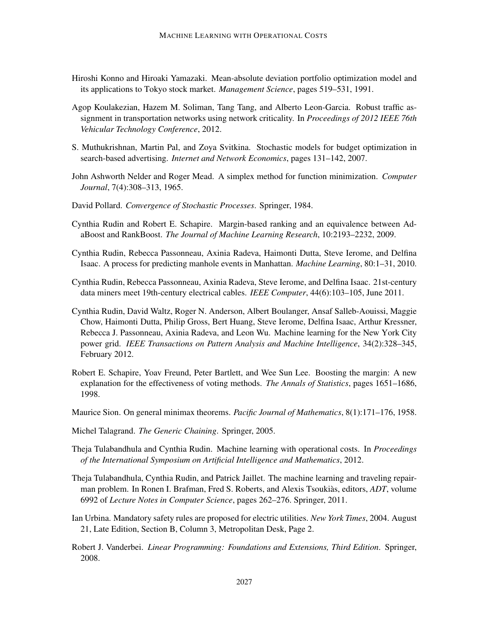- Hiroshi Konno and Hiroaki Yamazaki. Mean-absolute deviation portfolio optimization model and its applications to Tokyo stock market. *Management Science*, pages 519–531, 1991.
- Agop Koulakezian, Hazem M. Soliman, Tang Tang, and Alberto Leon-Garcia. Robust traffic assignment in transportation networks using network criticality. In *Proceedings of 2012 IEEE 76th Vehicular Technology Conference*, 2012.
- S. Muthukrishnan, Martin Pal, and Zoya Svitkina. Stochastic models for budget optimization in search-based advertising. *Internet and Network Economics*, pages 131–142, 2007.
- John Ashworth Nelder and Roger Mead. A simplex method for function minimization. *Computer Journal*, 7(4):308–313, 1965.
- David Pollard. *Convergence of Stochastic Processes*. Springer, 1984.
- Cynthia Rudin and Robert E. Schapire. Margin-based ranking and an equivalence between AdaBoost and RankBoost. *The Journal of Machine Learning Research*, 10:2193–2232, 2009.
- Cynthia Rudin, Rebecca Passonneau, Axinia Radeva, Haimonti Dutta, Steve Ierome, and Delfina Isaac. A process for predicting manhole events in Manhattan. *Machine Learning*, 80:1–31, 2010.
- Cynthia Rudin, Rebecca Passonneau, Axinia Radeva, Steve Ierome, and Delfina Isaac. 21st-century data miners meet 19th-century electrical cables. *IEEE Computer*, 44(6):103–105, June 2011.
- Cynthia Rudin, David Waltz, Roger N. Anderson, Albert Boulanger, Ansaf Salleb-Aouissi, Maggie Chow, Haimonti Dutta, Philip Gross, Bert Huang, Steve Ierome, Delfina Isaac, Arthur Kressner, Rebecca J. Passonneau, Axinia Radeva, and Leon Wu. Machine learning for the New York City power grid. *IEEE Transactions on Pattern Analysis and Machine Intelligence*, 34(2):328–345, February 2012.
- Robert E. Schapire, Yoav Freund, Peter Bartlett, and Wee Sun Lee. Boosting the margin: A new explanation for the effectiveness of voting methods. *The Annals of Statistics*, pages 1651–1686, 1998.
- Maurice Sion. On general minimax theorems. *Pacific Journal of Mathematics*, 8(1):171–176, 1958.
- Michel Talagrand. *The Generic Chaining*. Springer, 2005.
- Theja Tulabandhula and Cynthia Rudin. Machine learning with operational costs. In *Proceedings of the International Symposium on Artificial Intelligence and Mathematics*, 2012.
- Theja Tulabandhula, Cynthia Rudin, and Patrick Jaillet. The machine learning and traveling repairman problem. In Ronen I. Brafman, Fred S. Roberts, and Alexis Tsoukias, editors, *ADT*, volume 6992 of *Lecture Notes in Computer Science*, pages 262–276. Springer, 2011.
- Ian Urbina. Mandatory safety rules are proposed for electric utilities. *New York Times*, 2004. August 21, Late Edition, Section B, Column 3, Metropolitan Desk, Page 2.
- Robert J. Vanderbei. *Linear Programming: Foundations and Extensions, Third Edition*. Springer, 2008.